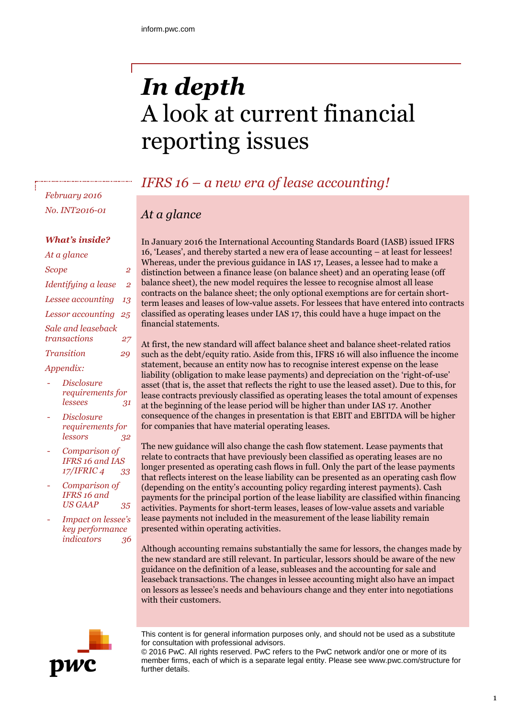# *In depth* A look at current financial reporting issues

# *IFRS 16 – a new era of lease accounting!*

# *At a glance*

In January 2016 the International Accounting Standards Board (IASB) issued IFRS 16, 'Leases', and thereby started a new era of lease accounting – at least for lessees! Whereas, under the previous guidance in IAS 17, Leases, a lessee had to make a distinction between a finance lease (on balance sheet) and an operating lease (off balance sheet), the new model requires the lessee to recognise almost all lease contracts on the balance sheet; the only optional exemptions are for certain shortterm leases and leases of low-value assets. For lessees that have entered into contracts classified as operating leases under IAS 17, this could have a huge impact on the financial statements.

At first, the new standard will affect balance sheet and balance sheet-related ratios such as the debt/equity ratio. Aside from this, IFRS 16 will also influence the income statement, because an entity now has to recognise interest expense on the lease liability (obligation to make lease payments) and depreciation on the 'right-of-use' asset (that is, the asset that reflects the right to use the leased asset). Due to this, for lease contracts previously classified as operating leases the total amount of expenses at the beginning of the lease period will be higher than under IAS 17. Another consequence of the changes in presentation is that EBIT and EBITDA will be higher for companies that have material operating leases.

The new guidance will also change the cash flow statement. Lease payments that relate to contracts that have previously been classified as operating leases are no longer presented as operating cash flows in full. Only the part of the lease payments that reflects interest on the lease liability can be presented as an operating cash flow (depending on the entity's accounting policy regarding interest payments). Cash payments for the principal portion of the lease liability are classified within financing activities. Payments for short-term leases, leases of low-value assets and variable lease payments not included in the measurement of the lease liability remain presented within operating activities.

Although accounting remains substantially the same for lessors, the changes made by the new standard are still relevant. In particular, lessors should be aware of the new guidance on the definition of a lease, subleases and the accounting for sale and leaseback transactions. The changes in lessee accounting might also have an impact on lessors as lessee's needs and behaviours change and they enter into negotiations with their customers.



This content is for general information purposes only, and should not be used as a substitute for consultation with professional advisors.

© 2016 PwC. All rights reserved. PwC refers to the PwC network and/or one or more of its member firms, each of which is a separate legal entity. Please see www.pwc.com/structure for further details.

*February 2016 No. INT2016-01*

## *What's inside?*

| At a glance          |                |
|----------------------|----------------|
| Scope                | $\overline{2}$ |
| Identifying a lease  | $\overline{2}$ |
| Lessee accounting 13 |                |
| Lessor accounting 25 |                |
| Sale and leaseback   |                |
| transactions         | 27             |
| <b>Transition</b>    | 29             |

#### *Appendix:*

- *Disclosure requirements for lessees 31*
- *Disclosure requirements for lessors 32*
- *Comparison of IFRS 16 and IAS 17/IFRIC 4 33*
- *Comparison of IFRS 16 and US GAAP 35*
- *Impact on lessee's key performance indicators 36*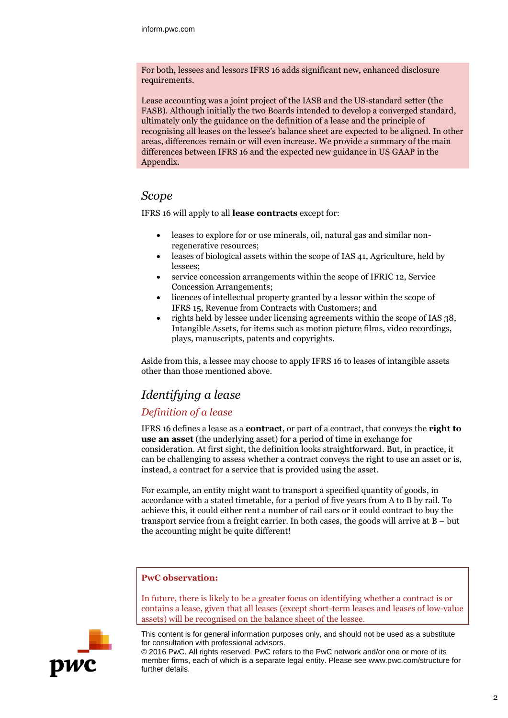For both, lessees and lessors IFRS 16 adds significant new, enhanced disclosure requirements.

Lease accounting was a joint project of the IASB and the US-standard setter (the FASB). Although initially the two Boards intended to develop a converged standard, ultimately only the guidance on the definition of a lease and the principle of recognising all leases on the lessee's balance sheet are expected to be aligned. In other areas, differences remain or will even increase. We provide a summary of the main differences between IFRS 16 and the expected new guidance in US GAAP in the Appendix.

## *Scope*

IFRS 16 will apply to all **lease contracts** except for:

- leases to explore for or use minerals, oil, natural gas and similar nonregenerative resources;
- leases of biological assets within the scope of IAS 41, Agriculture, held by lessees;
- service concession arrangements within the scope of IFRIC 12, Service Concession Arrangements;
- licences of intellectual property granted by a lessor within the scope of IFRS 15, Revenue from Contracts with Customers; and
- rights held by lessee under licensing agreements within the scope of IAS 38, Intangible Assets, for items such as motion picture films, video recordings, plays, manuscripts, patents and copyrights.

Aside from this, a lessee may choose to apply IFRS 16 to leases of intangible assets other than those mentioned above.

# *Identifying a lease*

## *Definition of a lease*

IFRS 16 defines a lease as a **contract**, or part of a contract, that conveys the **right to use an asset** (the underlying asset) for a period of time in exchange for consideration. At first sight, the definition looks straightforward. But, in practice, it can be challenging to assess whether a contract conveys the right to use an asset or is, instead, a contract for a service that is provided using the asset.

For example, an entity might want to transport a specified quantity of goods, in accordance with a stated timetable, for a period of five years from A to B by rail. To achieve this, it could either rent a number of rail cars or it could contract to buy the transport service from a freight carrier. In both cases, the goods will arrive at B – but the accounting might be quite different!

## **PwC observation:**

In future, there is likely to be a greater focus on identifying whether a contract is or contains a lease, given that all leases (except short-term leases and leases of low-value assets) will be recognised on the balance sheet of the lessee.



This content is for general information purposes only, and should not be used as a substitute for consultation with professional advisors.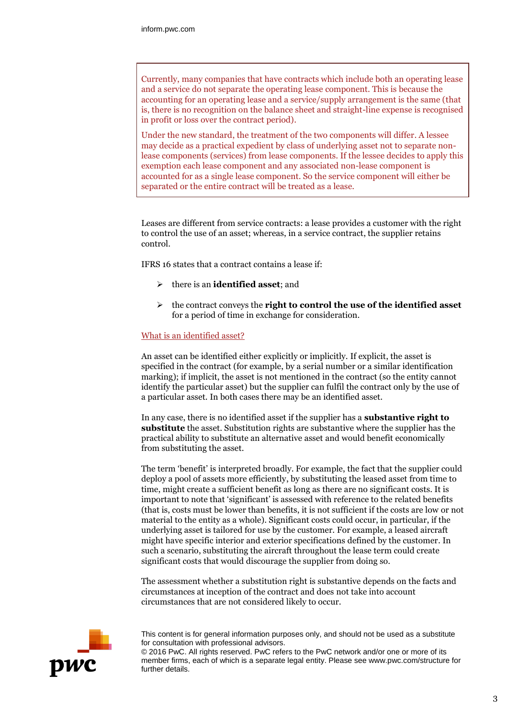Currently, many companies that have contracts which include both an operating lease and a service do not separate the operating lease component. This is because the accounting for an operating lease and a service/supply arrangement is the same (that is, there is no recognition on the balance sheet and straight-line expense is recognised in profit or loss over the contract period).

Under the new standard, the treatment of the two components will differ. A lessee may decide as a practical expedient by class of underlying asset not to separate nonlease components (services) from lease components. If the lessee decides to apply this exemption each lease component and any associated non-lease component is accounted for as a single lease component. So the service component will either be separated or the entire contract will be treated as a lease.

Leases are different from service contracts: a lease provides a customer with the right to control the use of an asset; whereas, in a service contract, the supplier retains control.

IFRS 16 states that a contract contains a lease if:

- there is an **identified asset**; and
- the contract conveys the **right to control the use of the identified asset** for a period of time in exchange for consideration.

#### What is an identified asset?

An asset can be identified either explicitly or implicitly. If explicit, the asset is specified in the contract (for example, by a serial number or a similar identification marking); if implicit, the asset is not mentioned in the contract (so the entity cannot identify the particular asset) but the supplier can fulfil the contract only by the use of a particular asset. In both cases there may be an identified asset.

In any case, there is no identified asset if the supplier has a **substantive right to substitute** the asset. Substitution rights are substantive where the supplier has the practical ability to substitute an alternative asset and would benefit economically from substituting the asset.

The term 'benefit' is interpreted broadly. For example, the fact that the supplier could deploy a pool of assets more efficiently, by substituting the leased asset from time to time, might create a sufficient benefit as long as there are no significant costs. It is important to note that 'significant' is assessed with reference to the related benefits (that is, costs must be lower than benefits, it is not sufficient if the costs are low or not material to the entity as a whole). Significant costs could occur, in particular, if the underlying asset is tailored for use by the customer. For example, a leased aircraft might have specific interior and exterior specifications defined by the customer. In such a scenario, substituting the aircraft throughout the lease term could create significant costs that would discourage the supplier from doing so.

The assessment whether a substitution right is substantive depends on the facts and circumstances at inception of the contract and does not take into account circumstances that are not considered likely to occur.



This content is for general information purposes only, and should not be used as a substitute for consultation with professional advisors.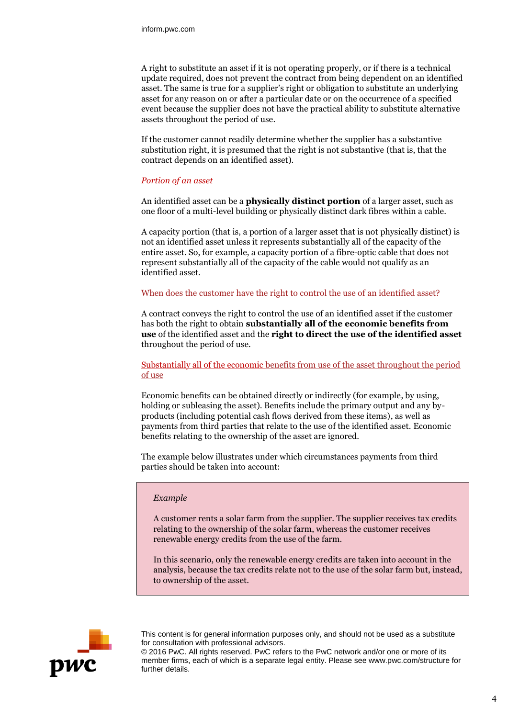A right to substitute an asset if it is not operating properly, or if there is a technical update required, does not prevent the contract from being dependent on an identified asset. The same is true for a supplier's right or obligation to substitute an underlying asset for any reason on or after a particular date or on the occurrence of a specified event because the supplier does not have the practical ability to substitute alternative assets throughout the period of use.

If the customer cannot readily determine whether the supplier has a substantive substitution right, it is presumed that the right is not substantive (that is, that the contract depends on an identified asset).

#### *Portion of an asset*

An identified asset can be a **physically distinct portion** of a larger asset, such as one floor of a multi-level building or physically distinct dark fibres within a cable.

A capacity portion (that is, a portion of a larger asset that is not physically distinct) is not an identified asset unless it represents substantially all of the capacity of the entire asset. So, for example, a capacity portion of a fibre-optic cable that does not represent substantially all of the capacity of the cable would not qualify as an identified asset.

#### When does the customer have the right to control the use of an identified asset?

A contract conveys the right to control the use of an identified asset if the customer has both the right to obtain **substantially all of the economic benefits from use** of the identified asset and the **right to direct the use of the identified asset** throughout the period of use.

#### Substantially all of the economic benefits from use of the asset throughout the period of use

Economic benefits can be obtained directly or indirectly (for example, by using, holding or subleasing the asset). Benefits include the primary output and any byproducts (including potential cash flows derived from these items), as well as payments from third parties that relate to the use of the identified asset. Economic benefits relating to the ownership of the asset are ignored.

The example below illustrates under which circumstances payments from third parties should be taken into account:

#### *Example*

A customer rents a solar farm from the supplier. The supplier receives tax credits relating to the ownership of the solar farm, whereas the customer receives renewable energy credits from the use of the farm.

In this scenario, only the renewable energy credits are taken into account in the analysis, because the tax credits relate not to the use of the solar farm but, instead, to ownership of the asset.



This content is for general information purposes only, and should not be used as a substitute for consultation with professional advisors.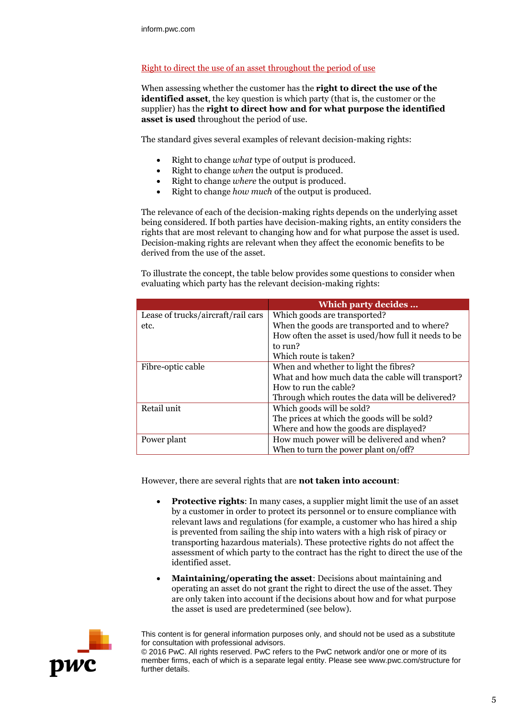#### Right to direct the use of an asset throughout the period of use

When assessing whether the customer has the **right to direct the use of the identified asset**, the key question is which party (that is, the customer or the supplier) has the **right to direct how and for what purpose the identified asset is used** throughout the period of use.

The standard gives several examples of relevant decision-making rights:

- Right to change *what* type of output is produced.
- Right to change *when* the output is produced.
- Right to change *where* the output is produced.
- Right to change *how much* of the output is produced.

The relevance of each of the decision-making rights depends on the underlying asset being considered. If both parties have decision-making rights, an entity considers the rights that are most relevant to changing how and for what purpose the asset is used. Decision-making rights are relevant when they affect the economic benefits to be derived from the use of the asset.

To illustrate the concept, the table below provides some questions to consider when evaluating which party has the relevant decision-making rights:

|                                    | Which party decides                                 |  |
|------------------------------------|-----------------------------------------------------|--|
| Lease of trucks/aircraft/rail cars | Which goods are transported?                        |  |
| etc.                               | When the goods are transported and to where?        |  |
|                                    | How often the asset is used/how full it needs to be |  |
|                                    | to run?                                             |  |
|                                    | Which route is taken?                               |  |
| Fibre-optic cable                  | When and whether to light the fibres?               |  |
|                                    | What and how much data the cable will transport?    |  |
|                                    | How to run the cable?                               |  |
|                                    | Through which routes the data will be delivered?    |  |
| Retail unit                        | Which goods will be sold?                           |  |
|                                    | The prices at which the goods will be sold?         |  |
|                                    | Where and how the goods are displayed?              |  |
| Power plant                        | How much power will be delivered and when?          |  |
|                                    | When to turn the power plant on/off?                |  |

However, there are several rights that are **not taken into account**:

- **Protective rights**: In many cases, a supplier might limit the use of an asset by a customer in order to protect its personnel or to ensure compliance with relevant laws and regulations (for example, a customer who has hired a ship is prevented from sailing the ship into waters with a high risk of piracy or transporting hazardous materials). These protective rights do not affect the assessment of which party to the contract has the right to direct the use of the identified asset.
- **Maintaining/operating the asset**: Decisions about maintaining and operating an asset do not grant the right to direct the use of the asset. They are only taken into account if the decisions about how and for what purpose the asset is used are predetermined (see below).



This content is for general information purposes only, and should not be used as a substitute for consultation with professional advisors.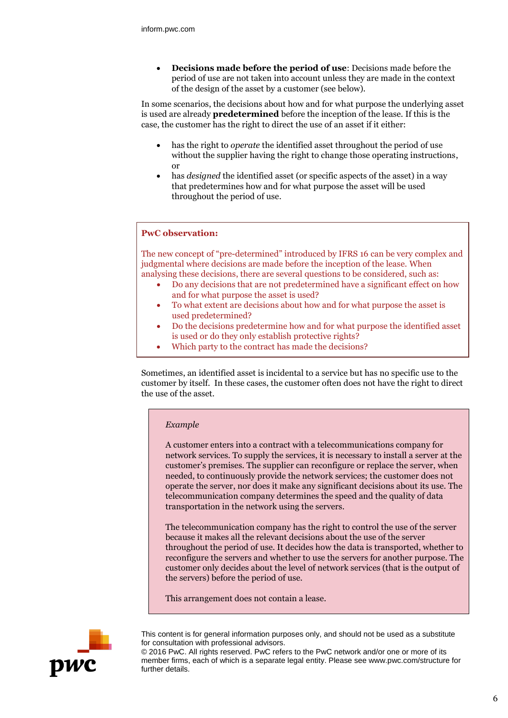**Decisions made before the period of use**: Decisions made before the period of use are not taken into account unless they are made in the context of the design of the asset by a customer (see below).

In some scenarios, the decisions about how and for what purpose the underlying asset is used are already **predetermined** before the inception of the lease. If this is the case, the customer has the right to direct the use of an asset if it either:

- has the right to *operate* the identified asset throughout the period of use without the supplier having the right to change those operating instructions, or
- has *designed* the identified asset (or specific aspects of the asset) in a way that predetermines how and for what purpose the asset will be used throughout the period of use.

#### **PwC observation:**

The new concept of "pre-determined" introduced by IFRS 16 can be very complex and judgmental where decisions are made before the inception of the lease. When analysing these decisions, there are several questions to be considered, such as:

- Do any decisions that are not predetermined have a significant effect on how and for what purpose the asset is used?
- To what extent are decisions about how and for what purpose the asset is used predetermined?
- Do the decisions predetermine how and for what purpose the identified asset is used or do they only establish protective rights?
- Which party to the contract has made the decisions?

Sometimes, an identified asset is incidental to a service but has no specific use to the customer by itself. In these cases, the customer often does not have the right to direct the use of the asset.

#### *Example*

A customer enters into a contract with a telecommunications company for network services. To supply the services, it is necessary to install a server at the customer's premises. The supplier can reconfigure or replace the server, when needed, to continuously provide the network services; the customer does not operate the server, nor does it make any significant decisions about its use. The telecommunication company determines the speed and the quality of data transportation in the network using the servers.

The telecommunication company has the right to control the use of the server because it makes all the relevant decisions about the use of the server throughout the period of use. It decides how the data is transported, whether to reconfigure the servers and whether to use the servers for another purpose. The customer only decides about the level of network services (that is the output of the servers) before the period of use.

This arrangement does not contain a lease.



This content is for general information purposes only, and should not be used as a substitute for consultation with professional advisors.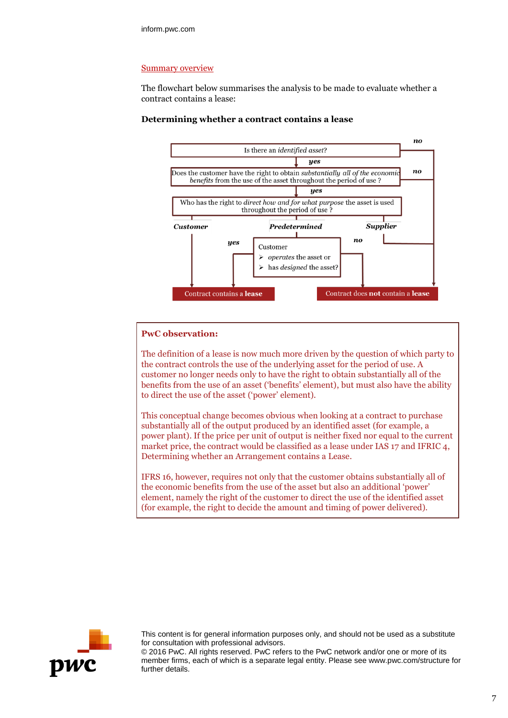#### Summary overview

The flowchart below summarises the analysis to be made to evaluate whether a contract contains a lease:





#### **PwC observation:**

The definition of a lease is now much more driven by the question of which party to the contract controls the use of the underlying asset for the period of use. A customer no longer needs only to have the right to obtain substantially all of the benefits from the use of an asset ('benefits' element), but must also have the ability to direct the use of the asset ('power' element).

This conceptual change becomes obvious when looking at a contract to purchase substantially all of the output produced by an identified asset (for example, a power plant). If the price per unit of output is neither fixed nor equal to the current market price, the contract would be classified as a lease under IAS 17 and IFRIC 4, Determining whether an Arrangement contains a Lease.

IFRS 16, however, requires not only that the customer obtains substantially all of the economic benefits from the use of the asset but also an additional 'power' element, namely the right of the customer to direct the use of the identified asset (for example, the right to decide the amount and timing of power delivered).



This content is for general information purposes only, and should not be used as a substitute for consultation with professional advisors.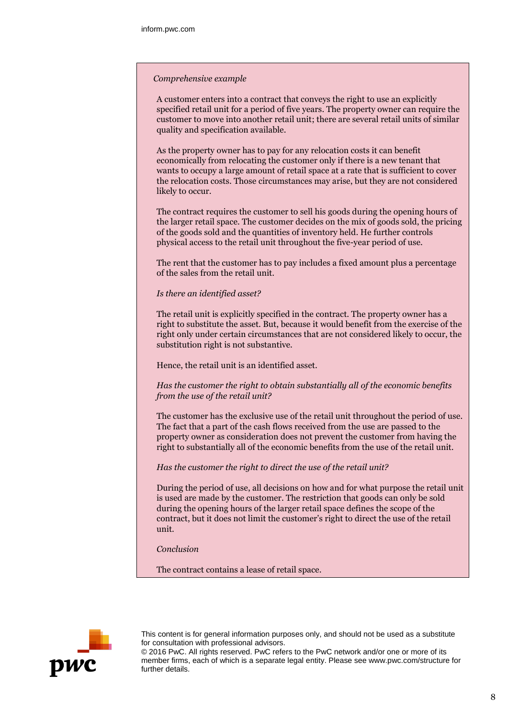#### *Comprehensive example*

A customer enters into a contract that conveys the right to use an explicitly specified retail unit for a period of five years. The property owner can require the customer to move into another retail unit; there are several retail units of similar quality and specification available.

As the property owner has to pay for any relocation costs it can benefit economically from relocating the customer only if there is a new tenant that wants to occupy a large amount of retail space at a rate that is sufficient to cover the relocation costs. Those circumstances may arise, but they are not considered likely to occur.

The contract requires the customer to sell his goods during the opening hours of the larger retail space. The customer decides on the mix of goods sold, the pricing of the goods sold and the quantities of inventory held. He further controls physical access to the retail unit throughout the five-year period of use.

The rent that the customer has to pay includes a fixed amount plus a percentage of the sales from the retail unit.

*Is there an identified asset?*

The retail unit is explicitly specified in the contract. The property owner has a right to substitute the asset. But, because it would benefit from the exercise of the right only under certain circumstances that are not considered likely to occur, the substitution right is not substantive.

Hence, the retail unit is an identified asset.

*Has the customer the right to obtain substantially all of the economic benefits from the use of the retail unit?*

The customer has the exclusive use of the retail unit throughout the period of use. The fact that a part of the cash flows received from the use are passed to the property owner as consideration does not prevent the customer from having the right to substantially all of the economic benefits from the use of the retail unit.

*Has the customer the right to direct the use of the retail unit?*

During the period of use, all decisions on how and for what purpose the retail unit is used are made by the customer. The restriction that goods can only be sold during the opening hours of the larger retail space defines the scope of the contract, but it does not limit the customer's right to direct the use of the retail unit.

*Conclusion*

The contract contains a lease of retail space.



This content is for general information purposes only, and should not be used as a substitute for consultation with professional advisors.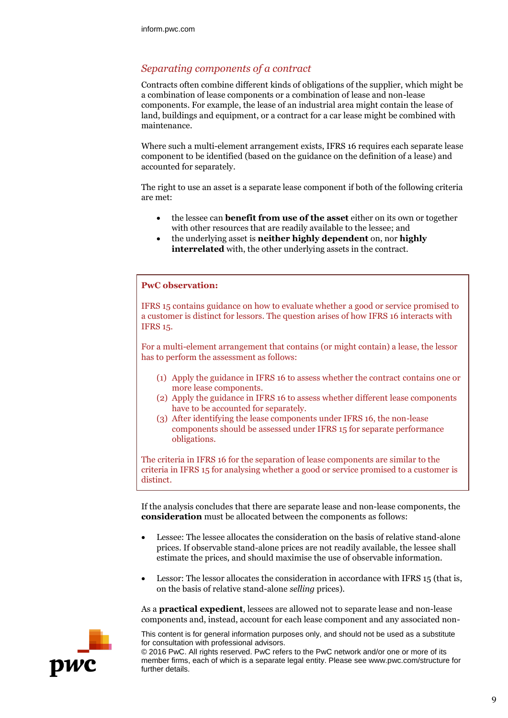## *Separating components of a contract*

Contracts often combine different kinds of obligations of the supplier, which might be a combination of lease components or a combination of lease and non-lease components. For example, the lease of an industrial area might contain the lease of land, buildings and equipment, or a contract for a car lease might be combined with maintenance.

Where such a multi-element arrangement exists, IFRS 16 requires each separate lease component to be identified (based on the guidance on the definition of a lease) and accounted for separately.

The right to use an asset is a separate lease component if both of the following criteria are met:

- the lessee can **benefit from use of the asset** either on its own or together with other resources that are readily available to the lessee; and
- the underlying asset is **neither highly dependent** on, nor **highly interrelated** with, the other underlying assets in the contract.

#### **PwC observation:**

IFRS 15 contains guidance on how to evaluate whether a good or service promised to a customer is distinct for lessors. The question arises of how IFRS 16 interacts with IFRS 15.

For a multi-element arrangement that contains (or might contain) a lease, the lessor has to perform the assessment as follows:

- (1) Apply the guidance in IFRS 16 to assess whether the contract contains one or more lease components.
- (2) Apply the guidance in IFRS 16 to assess whether different lease components have to be accounted for separately.
- (3) After identifying the lease components under IFRS 16, the non-lease components should be assessed under IFRS 15 for separate performance obligations.

The criteria in IFRS 16 for the separation of lease components are similar to the criteria in IFRS 15 for analysing whether a good or service promised to a customer is distinct.

If the analysis concludes that there are separate lease and non-lease components, the **consideration** must be allocated between the components as follows:

- Lessee: The lessee allocates the consideration on the basis of relative stand-alone prices. If observable stand-alone prices are not readily available, the lessee shall estimate the prices, and should maximise the use of observable information.
- Lessor: The lessor allocates the consideration in accordance with IFRS 15 (that is, on the basis of relative stand-alone *selling* prices).

As a **practical expedient**, lessees are allowed not to separate lease and non-lease components and, instead, account for each lease component and any associated non-



This content is for general information purposes only, and should not be used as a substitute for consultation with professional advisors.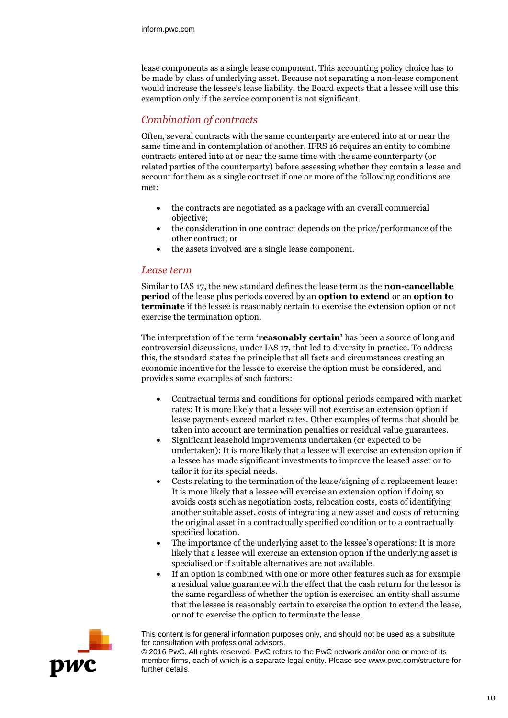lease components as a single lease component. This accounting policy choice has to be made by class of underlying asset. Because not separating a non-lease component would increase the lessee's lease liability, the Board expects that a lessee will use this exemption only if the service component is not significant.

## *Combination of contracts*

Often, several contracts with the same counterparty are entered into at or near the same time and in contemplation of another. IFRS 16 requires an entity to combine contracts entered into at or near the same time with the same counterparty (or related parties of the counterparty) before assessing whether they contain a lease and account for them as a single contract if one or more of the following conditions are met:

- the contracts are negotiated as a package with an overall commercial objective;
- the consideration in one contract depends on the price/performance of the other contract; or
- the assets involved are a single lease component.

#### *Lease term*

Similar to IAS 17, the new standard defines the lease term as the **non-cancellable period** of the lease plus periods covered by an **option to extend** or an **option to terminate** if the lessee is reasonably certain to exercise the extension option or not exercise the termination option.

The interpretation of the term **'reasonably certain'** has been a source of long and controversial discussions, under IAS 17, that led to diversity in practice. To address this, the standard states the principle that all facts and circumstances creating an economic incentive for the lessee to exercise the option must be considered, and provides some examples of such factors:

- Contractual terms and conditions for optional periods compared with market rates: It is more likely that a lessee will not exercise an extension option if lease payments exceed market rates. Other examples of terms that should be taken into account are termination penalties or residual value guarantees.
- Significant leasehold improvements undertaken (or expected to be undertaken): It is more likely that a lessee will exercise an extension option if a lessee has made significant investments to improve the leased asset or to tailor it for its special needs.
- Costs relating to the termination of the lease/signing of a replacement lease: It is more likely that a lessee will exercise an extension option if doing so avoids costs such as negotiation costs, relocation costs, costs of identifying another suitable asset, costs of integrating a new asset and costs of returning the original asset in a contractually specified condition or to a contractually specified location.
- The importance of the underlying asset to the lessee's operations: It is more likely that a lessee will exercise an extension option if the underlying asset is specialised or if suitable alternatives are not available.
- If an option is combined with one or more other features such as for example a residual value guarantee with the effect that the cash return for the lessor is the same regardless of whether the option is exercised an entity shall assume that the lessee is reasonably certain to exercise the option to extend the lease, or not to exercise the option to terminate the lease.



This content is for general information purposes only, and should not be used as a substitute for consultation with professional advisors.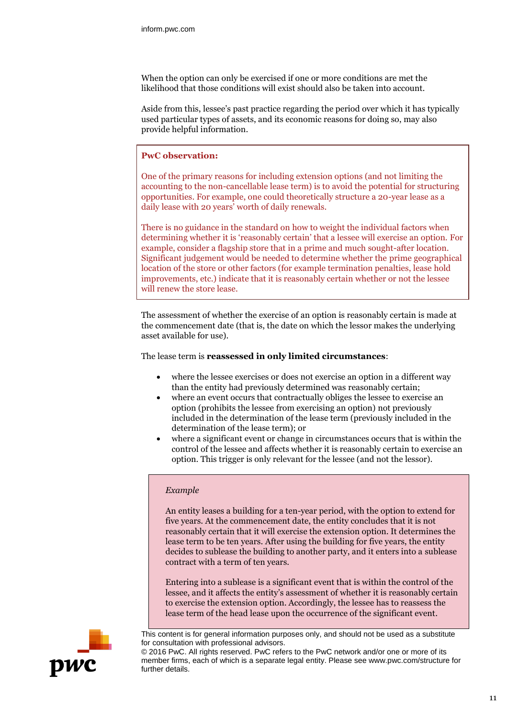When the option can only be exercised if one or more conditions are met the likelihood that those conditions will exist should also be taken into account.

Aside from this, lessee's past practice regarding the period over which it has typically used particular types of assets, and its economic reasons for doing so, may also provide helpful information.

#### **PwC observation:**

One of the primary reasons for including extension options (and not limiting the accounting to the non-cancellable lease term) is to avoid the potential for structuring opportunities. For example, one could theoretically structure a 20-year lease as a daily lease with 20 years' worth of daily renewals.

There is no guidance in the standard on how to weight the individual factors when determining whether it is 'reasonably certain' that a lessee will exercise an option. For example, consider a flagship store that in a prime and much sought-after location. Significant judgement would be needed to determine whether the prime geographical location of the store or other factors (for example termination penalties, lease hold improvements, etc.) indicate that it is reasonably certain whether or not the lessee will renew the store lease.

The assessment of whether the exercise of an option is reasonably certain is made at the commencement date (that is, the date on which the lessor makes the underlying asset available for use).

The lease term is **reassessed in only limited circumstances**:

- where the lessee exercises or does not exercise an option in a different way than the entity had previously determined was reasonably certain;
- where an event occurs that contractually obliges the lessee to exercise an option (prohibits the lessee from exercising an option) not previously included in the determination of the lease term (previously included in the determination of the lease term); or
- where a significant event or change in circumstances occurs that is within the control of the lessee and affects whether it is reasonably certain to exercise an option. This trigger is only relevant for the lessee (and not the lessor).

#### *Example*

An entity leases a building for a ten-year period, with the option to extend for five years. At the commencement date, the entity concludes that it is not reasonably certain that it will exercise the extension option. It determines the lease term to be ten years. After using the building for five years, the entity decides to sublease the building to another party, and it enters into a sublease contract with a term of ten years.

Entering into a sublease is a significant event that is within the control of the lessee, and it affects the entity's assessment of whether it is reasonably certain to exercise the extension option. Accordingly, the lessee has to reassess the lease term of the head lease upon the occurrence of the significant event.



This content is for general information purposes only, and should not be used as a substitute for consultation with professional advisors.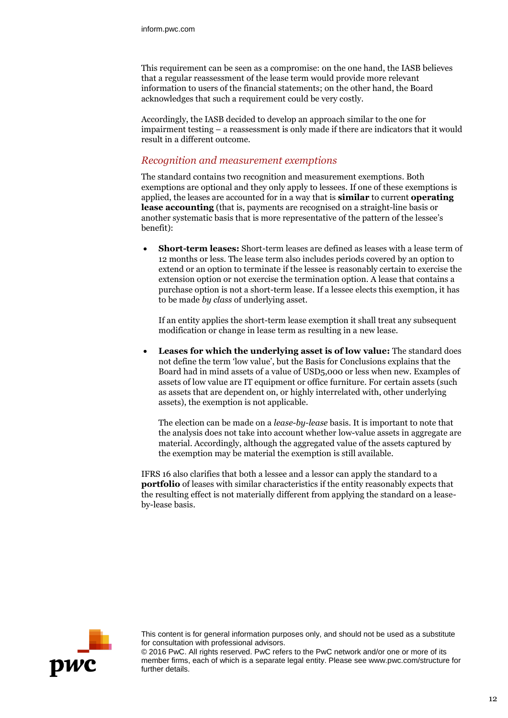This requirement can be seen as a compromise: on the one hand, the IASB believes that a regular reassessment of the lease term would provide more relevant information to users of the financial statements; on the other hand, the Board acknowledges that such a requirement could be very costly.

Accordingly, the IASB decided to develop an approach similar to the one for impairment testing – a reassessment is only made if there are indicators that it would result in a different outcome.

## *Recognition and measurement exemptions*

The standard contains two recognition and measurement exemptions. Both exemptions are optional and they only apply to lessees. If one of these exemptions is applied, the leases are accounted for in a way that is **similar** to current **operating lease accounting** (that is, payments are recognised on a straight-line basis or another systematic basis that is more representative of the pattern of the lessee's benefit):

 **Short-term leases:** Short-term leases are defined as leases with a lease term of 12 months or less. The lease term also includes periods covered by an option to extend or an option to terminate if the lessee is reasonably certain to exercise the extension option or not exercise the termination option. A lease that contains a purchase option is not a short-term lease. If a lessee elects this exemption, it has to be made *by class* of underlying asset.

If an entity applies the short-term lease exemption it shall treat any subsequent modification or change in lease term as resulting in a new lease.

 **Leases for which the underlying asset is of low value:** The standard does not define the term 'low value', but the Basis for Conclusions explains that the Board had in mind assets of a value of USD5,000 or less when new. Examples of assets of low value are IT equipment or office furniture. For certain assets (such as assets that are dependent on, or highly interrelated with, other underlying assets), the exemption is not applicable.

The election can be made on a *lease-by-lease* basis. It is important to note that the analysis does not take into account whether low-value assets in aggregate are material. Accordingly, although the aggregated value of the assets captured by the exemption may be material the exemption is still available.

IFRS 16 also clarifies that both a lessee and a lessor can apply the standard to a **portfolio** of leases with similar characteristics if the entity reasonably expects that the resulting effect is not materially different from applying the standard on a leaseby-lease basis.



This content is for general information purposes only, and should not be used as a substitute for consultation with professional advisors.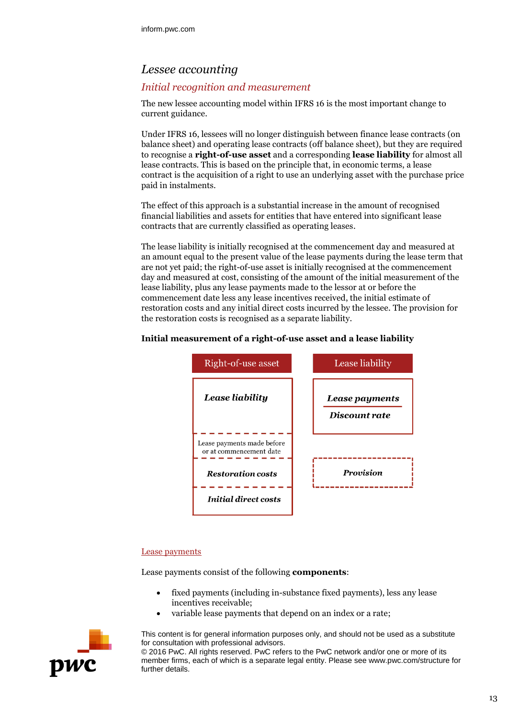# *Lessee accounting*

## *Initial recognition and measurement*

The new lessee accounting model within IFRS 16 is the most important change to current guidance.

Under IFRS 16, lessees will no longer distinguish between finance lease contracts (on balance sheet) and operating lease contracts (off balance sheet), but they are required to recognise a **right-of-use asset** and a corresponding **lease liability** for almost all lease contracts. This is based on the principle that, in economic terms, a lease contract is the acquisition of a right to use an underlying asset with the purchase price paid in instalments.

The effect of this approach is a substantial increase in the amount of recognised financial liabilities and assets for entities that have entered into significant lease contracts that are currently classified as operating leases.

The lease liability is initially recognised at the commencement day and measured at an amount equal to the present value of the lease payments during the lease term that are not yet paid; the right-of-use asset is initially recognised at the commencement day and measured at cost, consisting of the amount of the initial measurement of the lease liability, plus any lease payments made to the lessor at or before the commencement date less any lease incentives received, the initial estimate of restoration costs and any initial direct costs incurred by the lessee. The provision for the restoration costs is recognised as a separate liability.

#### **Initial measurement of a right-of-use asset and a lease liability**



#### Lease payments

Lease payments consist of the following **components**:

- fixed payments (including in-substance fixed payments), less any lease incentives receivable;
- variable lease payments that depend on an index or a rate;



This content is for general information purposes only, and should not be used as a substitute for consultation with professional advisors.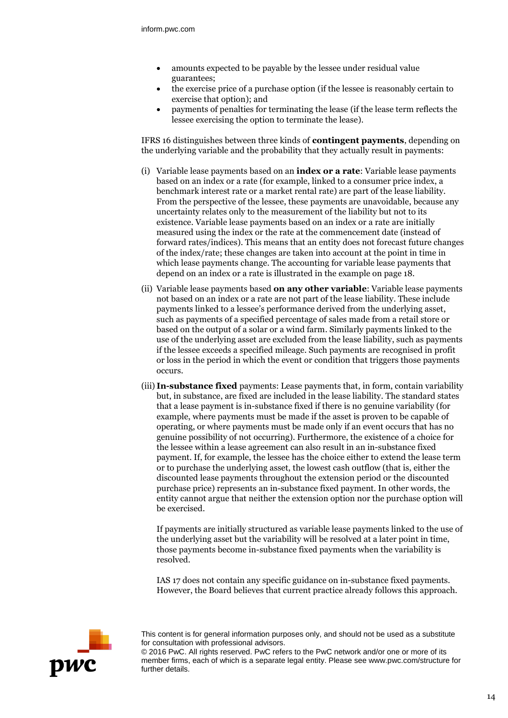- amounts expected to be payable by the lessee under residual value guarantees;
- the exercise price of a purchase option (if the lessee is reasonably certain to exercise that option); and
- payments of penalties for terminating the lease (if the lease term reflects the lessee exercising the option to terminate the lease).

IFRS 16 distinguishes between three kinds of **contingent payments**, depending on the underlying variable and the probability that they actually result in payments:

- (i) Variable lease payments based on an **index or a rate**: Variable lease payments based on an index or a rate (for example, linked to a consumer price index, a benchmark interest rate or a market rental rate) are part of the lease liability. From the perspective of the lessee, these payments are unavoidable, because any uncertainty relates only to the measurement of the liability but not to its existence. Variable lease payments based on an index or a rate are initially measured using the index or the rate at the commencement date (instead of forward rates/indices). This means that an entity does not forecast future changes of the index/rate; these changes are taken into account at the point in time in which lease payments change. The accounting for variable lease payments that depend on an index or a rate is illustrated in the example on page 18.
- (ii) Variable lease payments based **on any other variable**: Variable lease payments not based on an index or a rate are not part of the lease liability. These include payments linked to a lessee's performance derived from the underlying asset, such as payments of a specified percentage of sales made from a retail store or based on the output of a solar or a wind farm. Similarly payments linked to the use of the underlying asset are excluded from the lease liability, such as payments if the lessee exceeds a specified mileage. Such payments are recognised in profit or loss in the period in which the event or condition that triggers those payments occurs.
- (iii) **In-substance fixed** payments: Lease payments that, in form, contain variability but, in substance, are fixed are included in the lease liability. The standard states that a lease payment is in-substance fixed if there is no genuine variability (for example, where payments must be made if the asset is proven to be capable of operating, or where payments must be made only if an event occurs that has no genuine possibility of not occurring). Furthermore, the existence of a choice for the lessee within a lease agreement can also result in an in-substance fixed payment. If, for example, the lessee has the choice either to extend the lease term or to purchase the underlying asset, the lowest cash outflow (that is, either the discounted lease payments throughout the extension period or the discounted purchase price) represents an in-substance fixed payment. In other words, the entity cannot argue that neither the extension option nor the purchase option will be exercised.

If payments are initially structured as variable lease payments linked to the use of the underlying asset but the variability will be resolved at a later point in time, those payments become in-substance fixed payments when the variability is resolved.

IAS 17 does not contain any specific guidance on in-substance fixed payments. However, the Board believes that current practice already follows this approach.



This content is for general information purposes only, and should not be used as a substitute for consultation with professional advisors.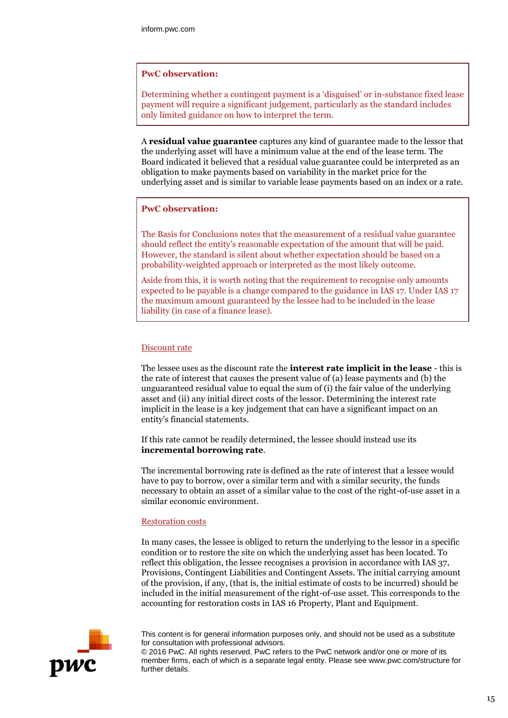#### **PwC observation:**

Determining whether a contingent payment is a 'disguised' or in-substance fixed lease payment will require a significant judgement, particularly as the standard includes only limited guidance on how to interpret the term.

A **residual value guarantee** captures any kind of guarantee made to the lessor that the underlying asset will have a minimum value at the end of the lease term. The Board indicated it believed that a residual value guarantee could be interpreted as an obligation to make payments based on variability in the market price for the underlying asset and is similar to variable lease payments based on an index or a rate.

#### **PwC observation:**

The Basis for Conclusions notes that the measurement of a residual value guarantee should reflect the entity's reasonable expectation of the amount that will be paid. However, the standard is silent about whether expectation should be based on a probability-weighted approach or interpreted as the most likely outcome.

Aside from this, it is worth noting that the requirement to recognise only amounts expected to be payable is a change compared to the guidance in IAS 17. Under IAS 17 the maximum amount guaranteed by the lessee had to be included in the lease liability (in case of a finance lease).

#### Discount rate

The lessee uses as the discount rate the **interest rate implicit in the lease** - this is the rate of interest that causes the present value of (a) lease payments and (b) the unguaranteed residual value to equal the sum of (i) the fair value of the underlying asset and (ii) any initial direct costs of the lessor. Determining the interest rate implicit in the lease is a key judgement that can have a significant impact on an entity's financial statements.

If this rate cannot be readily determined, the lessee should instead use its **incremental borrowing rate**.

The incremental borrowing rate is defined as the rate of interest that a lessee would have to pay to borrow, over a similar term and with a similar security, the funds necessary to obtain an asset of a similar value to the cost of the right-of-use asset in a similar economic environment.

#### Restoration costs

In many cases, the lessee is obliged to return the underlying to the lessor in a specific condition or to restore the site on which the underlying asset has been located. To reflect this obligation, the lessee recognises a provision in accordance with IAS 37, Provisions, Contingent Liabilities and Contingent Assets. The initial carrying amount of the provision, if any, (that is, the initial estimate of costs to be incurred) should be included in the initial measurement of the right-of-use asset. This corresponds to the accounting for restoration costs in IAS 16 Property, Plant and Equipment.



This content is for general information purposes only, and should not be used as a substitute for consultation with professional advisors.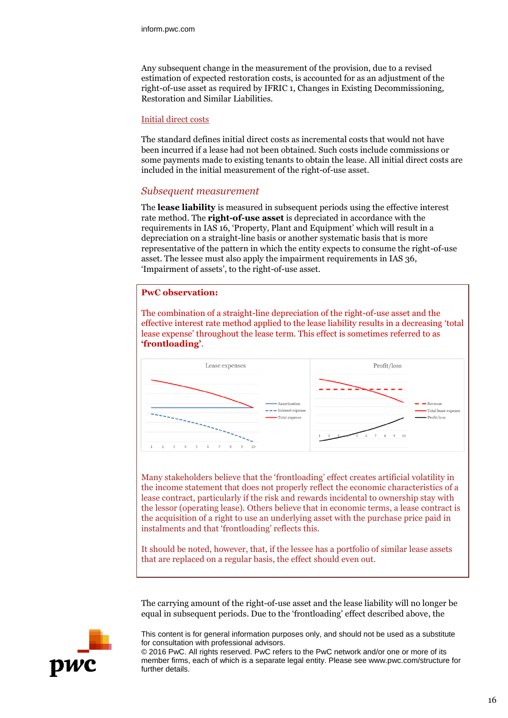Any subsequent change in the measurement of the provision, due to a revised estimation of expected restoration costs, is accounted for as an adjustment of the right-of-use asset as required by IFRIC 1, Changes in Existing Decommissioning, Restoration and Similar Liabilities.

#### Initial direct costs

The standard defines initial direct costs as incremental costs that would not have been incurred if a lease had not been obtained. Such costs include commissions or some payments made to existing tenants to obtain the lease. All initial direct costs are included in the initial measurement of the right-of-use asset.

#### *Subsequent measurement*

The **lease liability** is measured in subsequent periods using the effective interest rate method. The **right-of-use asset** is depreciated in accordance with the requirements in IAS 16, 'Property, Plant and Equipment' which will result in a depreciation on a straight-line basis or another systematic basis that is more representative of the pattern in which the entity expects to consume the right-of-use asset. The lessee must also apply the impairment requirements in IAS 36, 'Impairment of assets', to the right-of-use asset.

#### **PwC observation:**

The combination of a straight-line depreciation of the right-of-use asset and the effective interest rate method applied to the lease liability results in a decreasing 'total lease expense' throughout the lease term. This effect is sometimes referred to as **'frontloading'**.



Many stakeholders believe that the 'frontloading' effect creates artificial volatility in the income statement that does not properly reflect the economic characteristics of a lease contract, particularly if the risk and rewards incidental to ownership stay with the lessor (operating lease). Others believe that in economic terms, a lease contract is the acquisition of a right to use an underlying asset with the purchase price paid in instalments and that 'frontloading' reflects this.

It should be noted, however, that, if the lessee has a portfolio of similar lease assets that are replaced on a regular basis, the effect should even out.

The carrying amount of the right-of-use asset and the lease liability will no longer be equal in subsequent periods. Due to the 'frontloading' effect described above, the



This content is for general information purposes only, and should not be used as a substitute for consultation with professional advisors.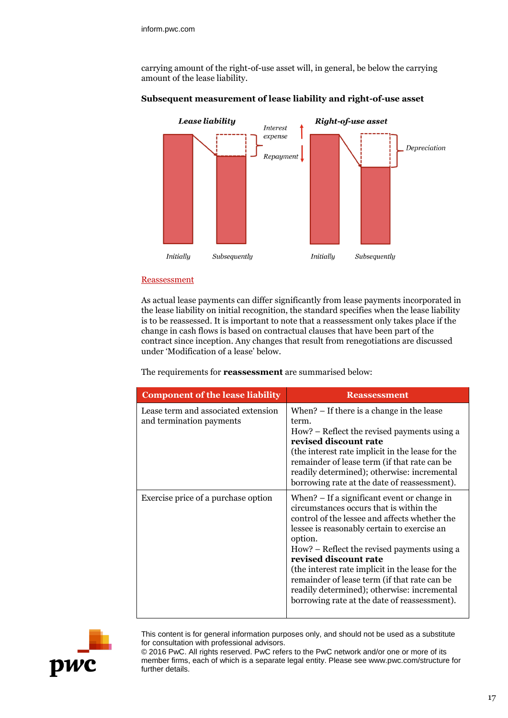carrying amount of the right-of-use asset will, in general, be below the carrying amount of the lease liability.



## **Subsequent measurement of lease liability and right-of-use asset**

#### Reassessment

As actual lease payments can differ significantly from lease payments incorporated in the lease liability on initial recognition, the standard specifies when the lease liability is to be reassessed. It is important to note that a reassessment only takes place if the change in cash flows is based on contractual clauses that have been part of the contract since inception. Any changes that result from renegotiations are discussed under 'Modification of a lease' below.

The requirements for **reassessment** are summarised below:

| <b>Component of the lease liability</b>                         | <b>Reassessment</b>                                                                                                                                                                                                                                                                                                                                                                                                                                                          |
|-----------------------------------------------------------------|------------------------------------------------------------------------------------------------------------------------------------------------------------------------------------------------------------------------------------------------------------------------------------------------------------------------------------------------------------------------------------------------------------------------------------------------------------------------------|
| Lease term and associated extension<br>and termination payments | When? $-$ If there is a change in the lease<br>term.<br>How? – Reflect the revised payments using a<br>revised discount rate<br>(the interest rate implicit in the lease for the<br>remainder of lease term (if that rate can be<br>readily determined); otherwise: incremental<br>borrowing rate at the date of reassessment).                                                                                                                                              |
| Exercise price of a purchase option                             | When? – If a significant event or change in<br>circumstances occurs that is within the<br>control of the lessee and affects whether the<br>lessee is reasonably certain to exercise an<br>option.<br>How? – Reflect the revised payments using a<br>revised discount rate<br>(the interest rate implicit in the lease for the<br>remainder of lease term (if that rate can be<br>readily determined); otherwise: incremental<br>borrowing rate at the date of reassessment). |



This content is for general information purposes only, and should not be used as a substitute for consultation with professional advisors.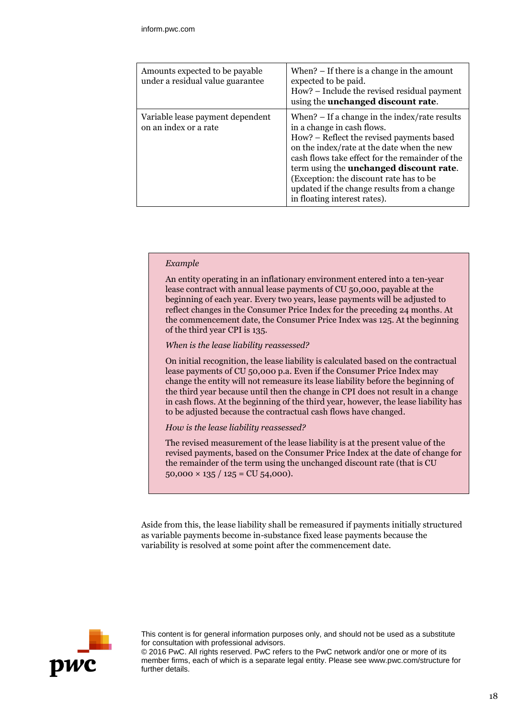| Amounts expected to be payable<br>under a residual value guarantee | When? $-$ If there is a change in the amount<br>expected to be paid.<br>How? – Include the revised residual payment<br>using the unchanged discount rate.                                                                                                                                                                                                                                                |
|--------------------------------------------------------------------|----------------------------------------------------------------------------------------------------------------------------------------------------------------------------------------------------------------------------------------------------------------------------------------------------------------------------------------------------------------------------------------------------------|
| Variable lease payment dependent<br>on an index or a rate          | When? $-$ If a change in the index/rate results<br>in a change in cash flows.<br>How? – Reflect the revised payments based<br>on the index/rate at the date when the new<br>cash flows take effect for the remainder of the<br>term using the <b>unchanged discount rate</b> .<br>(Exception: the discount rate has to be<br>updated if the change results from a change<br>in floating interest rates). |

#### *Example*

An entity operating in an inflationary environment entered into a ten-year lease contract with annual lease payments of CU 50,000, payable at the beginning of each year. Every two years, lease payments will be adjusted to reflect changes in the Consumer Price Index for the preceding 24 months. At the commencement date, the Consumer Price Index was 125. At the beginning of the third year CPI is 135.

#### *When is the lease liability reassessed?*

On initial recognition, the lease liability is calculated based on the contractual lease payments of CU 50,000 p.a. Even if the Consumer Price Index may change the entity will not remeasure its lease liability before the beginning of the third year because until then the change in CPI does not result in a change in cash flows. At the beginning of the third year, however, the lease liability has to be adjusted because the contractual cash flows have changed.

#### *How is the lease liability reassessed?*

The revised measurement of the lease liability is at the present value of the revised payments, based on the Consumer Price Index at the date of change for the remainder of the term using the unchanged discount rate (that is CU  $50,000 \times 135 / 125 = CU 54,000$ .

Aside from this, the lease liability shall be remeasured if payments initially structured as variable payments become in-substance fixed lease payments because the variability is resolved at some point after the commencement date.



This content is for general information purposes only, and should not be used as a substitute for consultation with professional advisors.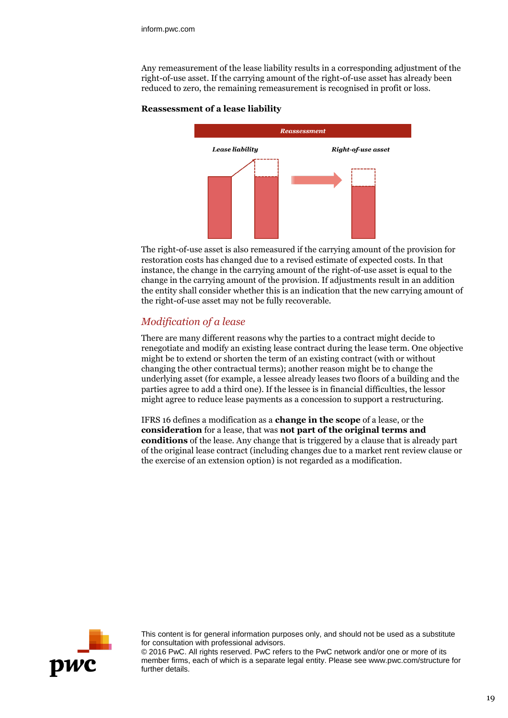Any remeasurement of the lease liability results in a corresponding adjustment of the right-of-use asset. If the carrying amount of the right-of-use asset has already been reduced to zero, the remaining remeasurement is recognised in profit or loss.

#### **Reassessment of a lease liability**



The right-of-use asset is also remeasured if the carrying amount of the provision for restoration costs has changed due to a revised estimate of expected costs. In that instance, the change in the carrying amount of the right-of-use asset is equal to the change in the carrying amount of the provision. If adjustments result in an addition the entity shall consider whether this is an indication that the new carrying amount of the right-of-use asset may not be fully recoverable.

## *Modification of a lease*

There are many different reasons why the parties to a contract might decide to renegotiate and modify an existing lease contract during the lease term. One objective might be to extend or shorten the term of an existing contract (with or without changing the other contractual terms); another reason might be to change the underlying asset (for example, a lessee already leases two floors of a building and the parties agree to add a third one). If the lessee is in financial difficulties, the lessor might agree to reduce lease payments as a concession to support a restructuring.

IFRS 16 defines a modification as a **change in the scope** of a lease, or the **consideration** for a lease, that was **not part of the original terms and conditions** of the lease. Any change that is triggered by a clause that is already part of the original lease contract (including changes due to a market rent review clause or the exercise of an extension option) is not regarded as a modification.



This content is for general information purposes only, and should not be used as a substitute for consultation with professional advisors.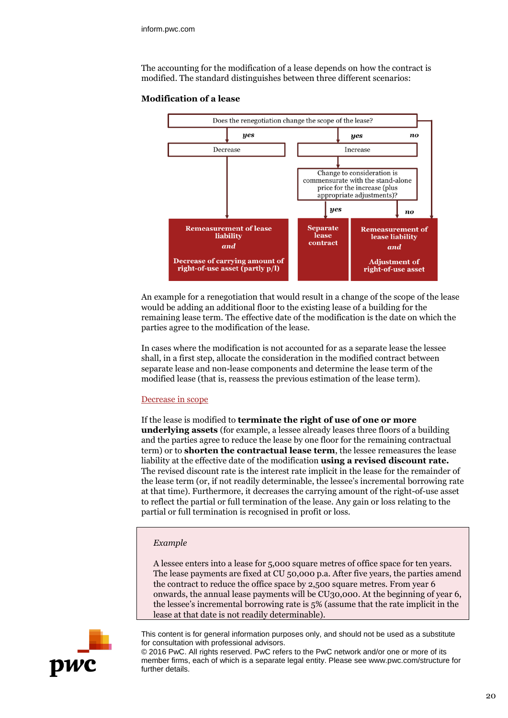The accounting for the modification of a lease depends on how the contract is modified. The standard distinguishes between three different scenarios:



#### **Modification of a lease**

An example for a renegotiation that would result in a change of the scope of the lease would be adding an additional floor to the existing lease of a building for the remaining lease term. The effective date of the modification is the date on which the parties agree to the modification of the lease.

In cases where the modification is not accounted for as a separate lease the lessee shall, in a first step, allocate the consideration in the modified contract between separate lease and non-lease components and determine the lease term of the modified lease (that is, reassess the previous estimation of the lease term).

#### Decrease in scope

If the lease is modified to **terminate the right of use of one or more underlying assets** (for example, a lessee already leases three floors of a building and the parties agree to reduce the lease by one floor for the remaining contractual term) or to **shorten the contractual lease term**, the lessee remeasures the lease liability at the effective date of the modification **using a revised discount rate.**  The revised discount rate is the interest rate implicit in the lease for the remainder of the lease term (or, if not readily determinable, the lessee's incremental borrowing rate at that time). Furthermore, it decreases the carrying amount of the right-of-use asset to reflect the partial or full termination of the lease. Any gain or loss relating to the partial or full termination is recognised in profit or loss.

#### *Example*

A lessee enters into a lease for 5,000 square metres of office space for ten years. The lease payments are fixed at CU 50,000 p.a. After five years, the parties amend the contract to reduce the office space by 2,500 square metres. From year 6 onwards, the annual lease payments will be CU30,000. At the beginning of year 6, the lessee's incremental borrowing rate is 5% (assume that the rate implicit in the lease at that date is not readily determinable).



This content is for general information purposes only, and should not be used as a substitute for consultation with professional advisors.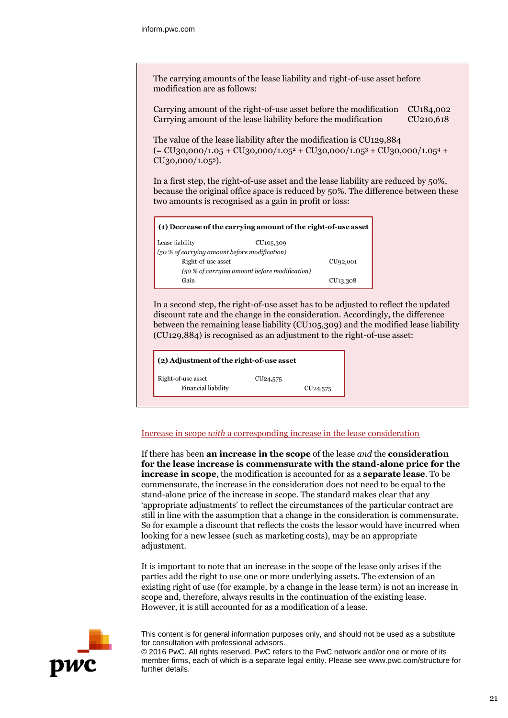The carrying amounts of the lease liability and right-of-use asset before modification are as follows:

Carrying amount of the right-of-use asset before the modification CU184,002 Carrying amount of the lease liability before the modification CU210,618

The value of the lease liability after the modification is CU129,884  $(= CU_30,000/1.05 + CU_30,000/1.05^2 + CU_30,000/1.05^3 + CU_30,000/1.05^4 +$ CU30,000/1.055).

In a first step, the right-of-use asset and the lease liability are reduced by 50%, because the original office space is reduced by 50%. The difference between these two amounts is recognised as a gain in profit or loss:

| $\vert$ (1) Decrease of the carrying amount of the right-of-use asset |  |  |
|-----------------------------------------------------------------------|--|--|
|                                                                       |  |  |
|                                                                       |  |  |
| CU <sub>92</sub> ,001                                                 |  |  |
| (50 % of carrying amount before modification)                         |  |  |
| CU <sub>13</sub> ,308                                                 |  |  |
|                                                                       |  |  |

In a second step, the right-of-use asset has to be adjusted to reflect the updated discount rate and the change in the consideration. Accordingly, the difference between the remaining lease liability (CU105,309) and the modified lease liability (CU129,884) is recognised as an adjustment to the right-of-use asset:

(2) Adjustment of the right-of-use asset

Right-of-use asset Financial liability

CU<sub>24</sub>,575

#### Increase in scope *with* a corresponding increase in the lease consideration

CU<sub>24</sub>,575

If there has been **an increase in the scope** of the lease *and* the **consideration for the lease increase is commensurate with the stand-alone price for the increase in scope**, the modification is accounted for as a **separate lease**. To be commensurate, the increase in the consideration does not need to be equal to the stand-alone price of the increase in scope. The standard makes clear that any 'appropriate adjustments' to reflect the circumstances of the particular contract are still in line with the assumption that a change in the consideration is commensurate. So for example a discount that reflects the costs the lessor would have incurred when looking for a new lessee (such as marketing costs), may be an appropriate adjustment.

It is important to note that an increase in the scope of the lease only arises if the parties add the right to use one or more underlying assets. The extension of an existing right of use (for example, by a change in the lease term) is not an increase in scope and, therefore, always results in the continuation of the existing lease. However, it is still accounted for as a modification of a lease.



This content is for general information purposes only, and should not be used as a substitute for consultation with professional advisors.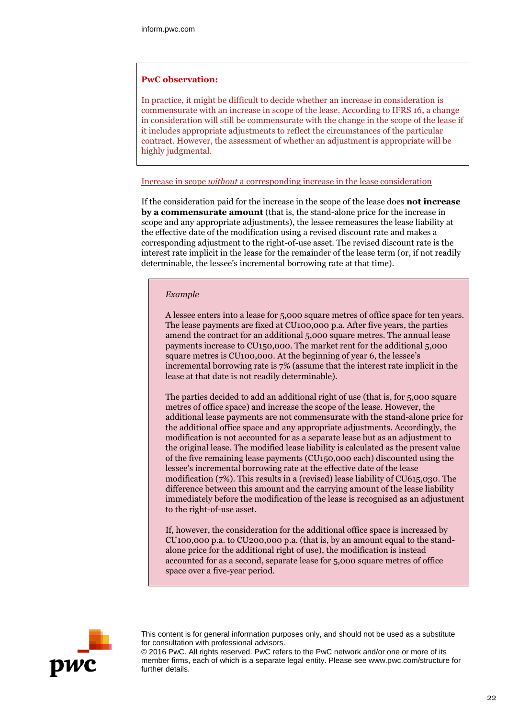#### **PwC observation:**

In practice, it might be difficult to decide whether an increase in consideration is commensurate with an increase in scope of the lease. According to IFRS 16, a change in consideration will still be commensurate with the change in the scope of the lease if it includes appropriate adjustments to reflect the circumstances of the particular contract. However, the assessment of whether an adjustment is appropriate will be highly judgmental.

#### Increase in scope *without* a corresponding increase in the lease consideration

If the consideration paid for the increase in the scope of the lease does **not increase by a commensurate amount** (that is, the stand-alone price for the increase in scope and any appropriate adjustments), the lessee remeasures the lease liability at the effective date of the modification using a revised discount rate and makes a corresponding adjustment to the right-of-use asset. The revised discount rate is the interest rate implicit in the lease for the remainder of the lease term (or, if not readily determinable, the lessee's incremental borrowing rate at that time).

#### *Example*

A lessee enters into a lease for 5,000 square metres of office space for ten years. The lease payments are fixed at CU100,000 p.a. After five years, the parties amend the contract for an additional 5,000 square metres. The annual lease payments increase to CU150,000. The market rent for the additional 5,000 square metres is CU100,000. At the beginning of year 6, the lessee's incremental borrowing rate is 7% (assume that the interest rate implicit in the lease at that date is not readily determinable).

The parties decided to add an additional right of use (that is, for 5,000 square metres of office space) and increase the scope of the lease. However, the additional lease payments are not commensurate with the stand-alone price for the additional office space and any appropriate adjustments. Accordingly, the modification is not accounted for as a separate lease but as an adjustment to the original lease. The modified lease liability is calculated as the present value of the five remaining lease payments (CU150,000 each) discounted using the lessee's incremental borrowing rate at the effective date of the lease modification (7%). This results in a (revised) lease liability of CU615,030. The difference between this amount and the carrying amount of the lease liability immediately before the modification of the lease is recognised as an adjustment to the right-of-use asset.

If, however, the consideration for the additional office space is increased by CU100,000 p.a. to CU200,000 p.a. (that is, by an amount equal to the standalone price for the additional right of use), the modification is instead accounted for as a second, separate lease for 5,000 square metres of office space over a five-year period.



This content is for general information purposes only, and should not be used as a substitute for consultation with professional advisors.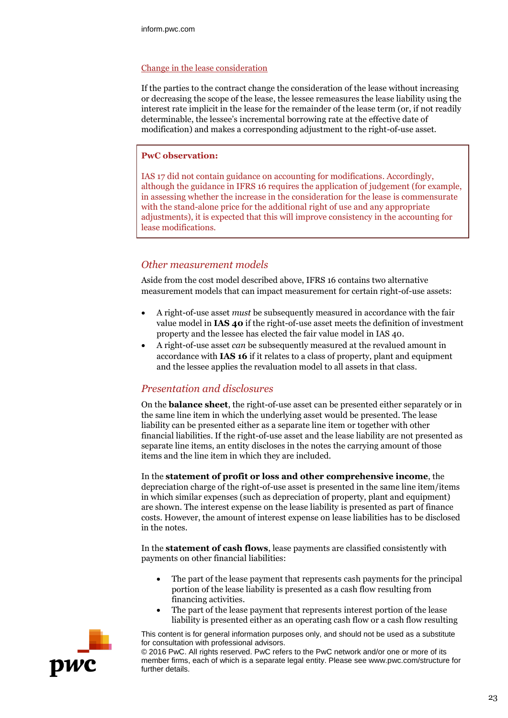#### Change in the lease consideration

If the parties to the contract change the consideration of the lease without increasing or decreasing the scope of the lease, the lessee remeasures the lease liability using the interest rate implicit in the lease for the remainder of the lease term (or, if not readily determinable, the lessee's incremental borrowing rate at the effective date of modification) and makes a corresponding adjustment to the right-of-use asset.

#### **PwC observation:**

IAS 17 did not contain guidance on accounting for modifications. Accordingly, although the guidance in IFRS 16 requires the application of judgement (for example, in assessing whether the increase in the consideration for the lease is commensurate with the stand-alone price for the additional right of use and any appropriate adjustments), it is expected that this will improve consistency in the accounting for lease modifications.

## *Other measurement models*

Aside from the cost model described above, IFRS 16 contains two alternative measurement models that can impact measurement for certain right-of-use assets:

- A right-of-use asset *must* be subsequently measured in accordance with the fair value model in **IAS 40** if the right-of-use asset meets the definition of investment property and the lessee has elected the fair value model in IAS 40.
- A right-of-use asset *can* be subsequently measured at the revalued amount in accordance with **IAS 16** if it relates to a class of property, plant and equipment and the lessee applies the revaluation model to all assets in that class.

## *Presentation and disclosures*

On the **balance sheet**, the right-of-use asset can be presented either separately or in the same line item in which the underlying asset would be presented. The lease liability can be presented either as a separate line item or together with other financial liabilities. If the right-of-use asset and the lease liability are not presented as separate line items, an entity discloses in the notes the carrying amount of those items and the line item in which they are included.

In the **statement of profit or loss and other comprehensive income**, the depreciation charge of the right-of-use asset is presented in the same line item/items in which similar expenses (such as depreciation of property, plant and equipment) are shown. The interest expense on the lease liability is presented as part of finance costs. However, the amount of interest expense on lease liabilities has to be disclosed in the notes.

In the **statement of cash flows**, lease payments are classified consistently with payments on other financial liabilities:

- The part of the lease payment that represents cash payments for the principal portion of the lease liability is presented as a cash flow resulting from financing activities.
- The part of the lease payment that represents interest portion of the lease liability is presented either as an operating cash flow or a cash flow resulting



This content is for general information purposes only, and should not be used as a substitute for consultation with professional advisors.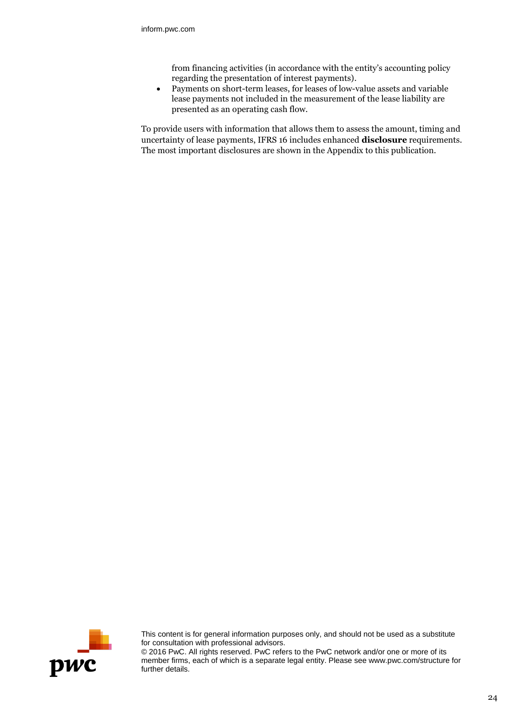from financing activities (in accordance with the entity's accounting policy regarding the presentation of interest payments).

 Payments on short-term leases, for leases of low-value assets and variable lease payments not included in the measurement of the lease liability are presented as an operating cash flow.

To provide users with information that allows them to assess the amount, timing and uncertainty of lease payments, IFRS 16 includes enhanced **disclosure** requirements. The most important disclosures are shown in the Appendix to this publication.



This content is for general information purposes only, and should not be used as a substitute for consultation with professional advisors.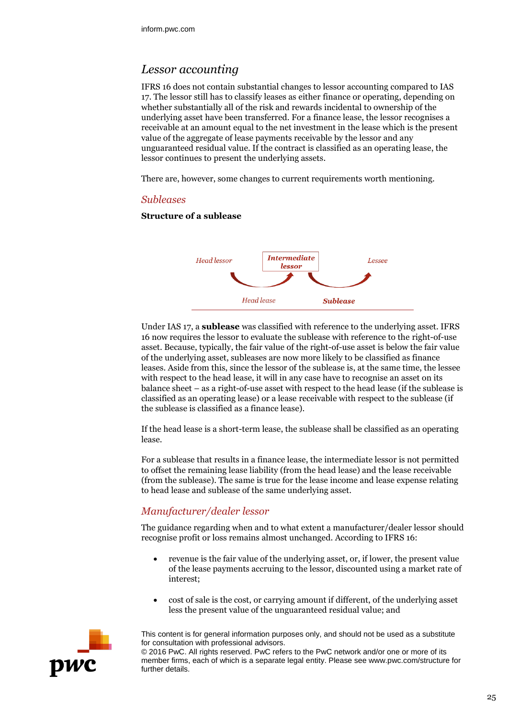# *Lessor accounting*

IFRS 16 does not contain substantial changes to lessor accounting compared to IAS 17. The lessor still has to classify leases as either finance or operating, depending on whether substantially all of the risk and rewards incidental to ownership of the underlying asset have been transferred. For a finance lease, the lessor recognises a receivable at an amount equal to the net investment in the lease which is the present value of the aggregate of lease payments receivable by the lessor and any unguaranteed residual value. If the contract is classified as an operating lease, the lessor continues to present the underlying assets.

There are, however, some changes to current requirements worth mentioning.

#### *Subleases*

#### **Structure of a sublease**



Under IAS 17, a **sublease** was classified with reference to the underlying asset. IFRS 16 now requires the lessor to evaluate the sublease with reference to the right-of-use asset. Because, typically, the fair value of the right-of-use asset is below the fair value of the underlying asset, subleases are now more likely to be classified as finance leases. Aside from this, since the lessor of the sublease is, at the same time, the lessee with respect to the head lease, it will in any case have to recognise an asset on its balance sheet – as a right-of-use asset with respect to the head lease (if the sublease is classified as an operating lease) or a lease receivable with respect to the sublease (if the sublease is classified as a finance lease).

If the head lease is a short-term lease, the sublease shall be classified as an operating lease.

For a sublease that results in a finance lease, the intermediate lessor is not permitted to offset the remaining lease liability (from the head lease) and the lease receivable (from the sublease). The same is true for the lease income and lease expense relating to head lease and sublease of the same underlying asset.

## *Manufacturer/dealer lessor*

The guidance regarding when and to what extent a manufacturer/dealer lessor should recognise profit or loss remains almost unchanged. According to IFRS 16:

- revenue is the fair value of the underlying asset, or, if lower, the present value of the lease payments accruing to the lessor, discounted using a market rate of interest;
- cost of sale is the cost, or carrying amount if different, of the underlying asset less the present value of the unguaranteed residual value; and



This content is for general information purposes only, and should not be used as a substitute for consultation with professional advisors.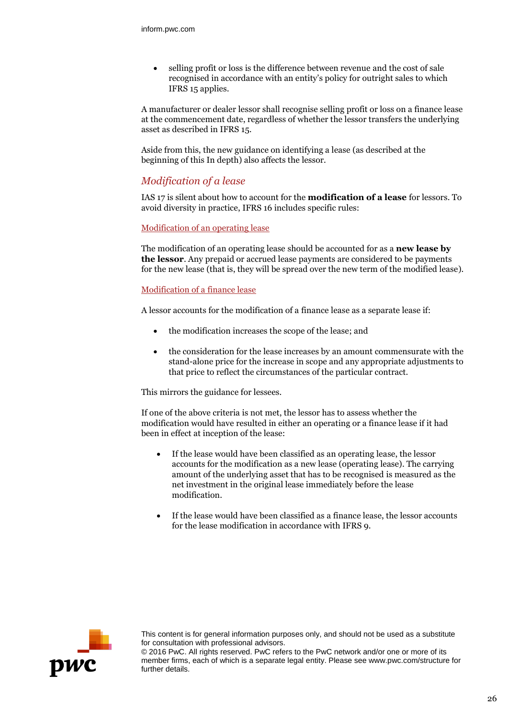selling profit or loss is the difference between revenue and the cost of sale recognised in accordance with an entity's policy for outright sales to which IFRS 15 applies.

A manufacturer or dealer lessor shall recognise selling profit or loss on a finance lease at the commencement date, regardless of whether the lessor transfers the underlying asset as described in IFRS 15.

Aside from this, the new guidance on identifying a lease (as described at the beginning of this In depth) also affects the lessor.

## *Modification of a lease*

IAS 17 is silent about how to account for the **modification of a lease** for lessors. To avoid diversity in practice, IFRS 16 includes specific rules:

#### Modification of an operating lease

The modification of an operating lease should be accounted for as a **new lease by the lessor**. Any prepaid or accrued lease payments are considered to be payments for the new lease (that is, they will be spread over the new term of the modified lease).

#### Modification of a finance lease

A lessor accounts for the modification of a finance lease as a separate lease if:

- the modification increases the scope of the lease; and
- the consideration for the lease increases by an amount commensurate with the stand-alone price for the increase in scope and any appropriate adjustments to that price to reflect the circumstances of the particular contract.

This mirrors the guidance for lessees.

If one of the above criteria is not met, the lessor has to assess whether the modification would have resulted in either an operating or a finance lease if it had been in effect at inception of the lease:

- If the lease would have been classified as an operating lease, the lessor accounts for the modification as a new lease (operating lease). The carrying amount of the underlying asset that has to be recognised is measured as the net investment in the original lease immediately before the lease modification.
- If the lease would have been classified as a finance lease, the lessor accounts for the lease modification in accordance with IFRS 9.



This content is for general information purposes only, and should not be used as a substitute for consultation with professional advisors.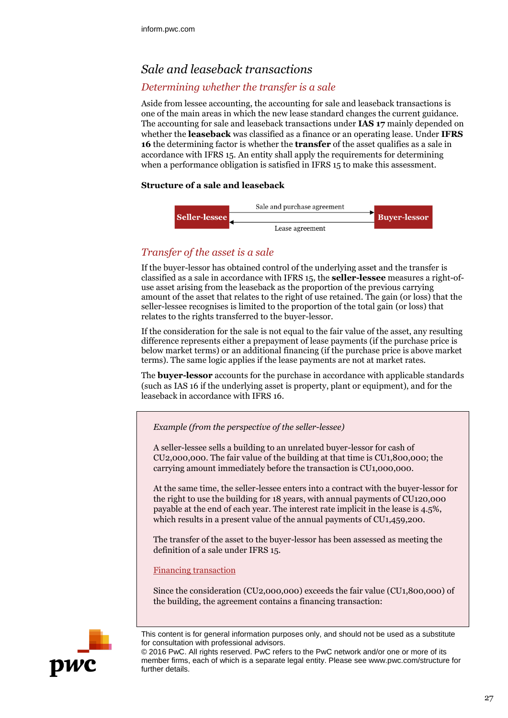# *Sale and leaseback transactions*

## *Determining whether the transfer is a sale*

Aside from lessee accounting, the accounting for sale and leaseback transactions is one of the main areas in which the new lease standard changes the current guidance. The accounting for sale and leaseback transactions under **IAS 17** mainly depended on whether the **leaseback** was classified as a finance or an operating lease. Under **IFRS 16** the determining factor is whether the **transfer** of the asset qualifies as a sale in accordance with IFRS 15. An entity shall apply the requirements for determining when a performance obligation is satisfied in IFRS 15 to make this assessment.

#### **Structure of a sale and leaseback**



## *Transfer of the asset is a sale*

If the buyer-lessor has obtained control of the underlying asset and the transfer is classified as a sale in accordance with IFRS 15, the **seller-lessee** measures a right-ofuse asset arising from the leaseback as the proportion of the previous carrying amount of the asset that relates to the right of use retained. The gain (or loss) that the seller-lessee recognises is limited to the proportion of the total gain (or loss) that relates to the rights transferred to the buyer-lessor.

If the consideration for the sale is not equal to the fair value of the asset, any resulting difference represents either a prepayment of lease payments (if the purchase price is below market terms) or an additional financing (if the purchase price is above market terms). The same logic applies if the lease payments are not at market rates.

The **buyer-lessor** accounts for the purchase in accordance with applicable standards (such as IAS 16 if the underlying asset is property, plant or equipment), and for the leaseback in accordance with IFRS 16.

*Example (from the perspective of the seller-lessee)*

A seller-lessee sells a building to an unrelated buyer-lessor for cash of CU2,000,000. The fair value of the building at that time is CU1,800,000; the carrying amount immediately before the transaction is CU1,000,000.

At the same time, the seller-lessee enters into a contract with the buyer-lessor for the right to use the building for 18 years, with annual payments of CU120,000 payable at the end of each year. The interest rate implicit in the lease is 4.5%, which results in a present value of the annual payments of CU1,459,200.

The transfer of the asset to the buyer-lessor has been assessed as meeting the definition of a sale under IFRS 15.

Financing transaction

Since the consideration (CU2,000,000) exceeds the fair value (CU1,800,000) of the building, the agreement contains a financing transaction:



This content is for general information purposes only, and should not be used as a substitute for consultation with professional advisors.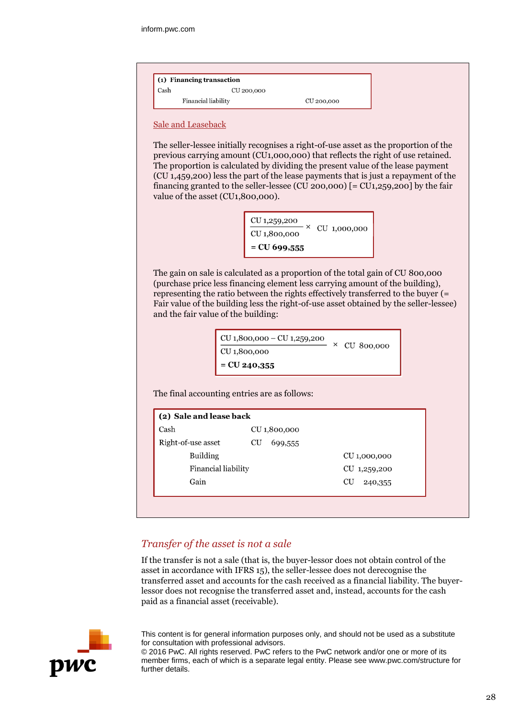| $(1)$ Financing transaction |                     |            |  |
|-----------------------------|---------------------|------------|--|
| Cash                        | CU 200,000          |            |  |
|                             | Financial liability | CU 200,000 |  |

#### Sale and Leaseback

The seller-lessee initially recognises a right-of-use asset as the proportion of the previous carrying amount (CU1,000,000) that reflects the right of use retained. The proportion is calculated by dividing the present value of the lease payment (CU 1,459,200) less the part of the lease payments that is just a repayment of the financing granted to the seller-lessee (CU 200,000) [= CU1,259,200] by the fair value of the asset (CU1,800,000).

> CU 1,259,200  $\cdot \times$  CU 1,000,000 CU 1,800,000  $=$  CU 699,555

The gain on sale is calculated as a proportion of the total gain of CU 800,000 (purchase price less financing element less carrying amount of the building), representing the ratio between the rights effectively transferred to the buyer (= Fair value of the building less the right-of-use asset obtained by the seller-lessee) and the fair value of the building:

| CU 1,800,000 - CU 1,259,200 | $\times$ CU 800,000 |
|-----------------------------|---------------------|
| CU 1,800,000                |                     |
| $=$ CU 240,355              |                     |

The final accounting entries are as follows:

| Cash<br>CU 1,800,000<br>Right-of-use asset<br>CU<br>699,555<br><b>Building</b><br>CU 1,000,000<br>Financial liability<br>CU 1,259,200 | (2) Sale and lease back |  |  |  |
|---------------------------------------------------------------------------------------------------------------------------------------|-------------------------|--|--|--|
|                                                                                                                                       |                         |  |  |  |
|                                                                                                                                       |                         |  |  |  |
|                                                                                                                                       |                         |  |  |  |
|                                                                                                                                       |                         |  |  |  |
| CU<br>240,355                                                                                                                         | Gain                    |  |  |  |

## *Transfer of the asset is not a sale*

If the transfer is not a sale (that is, the buyer-lessor does not obtain control of the asset in accordance with IFRS 15), the seller-lessee does not derecognise the transferred asset and accounts for the cash received as a financial liability. The buyerlessor does not recognise the transferred asset and, instead, accounts for the cash paid as a financial asset (receivable).



This content is for general information purposes only, and should not be used as a substitute for consultation with professional advisors.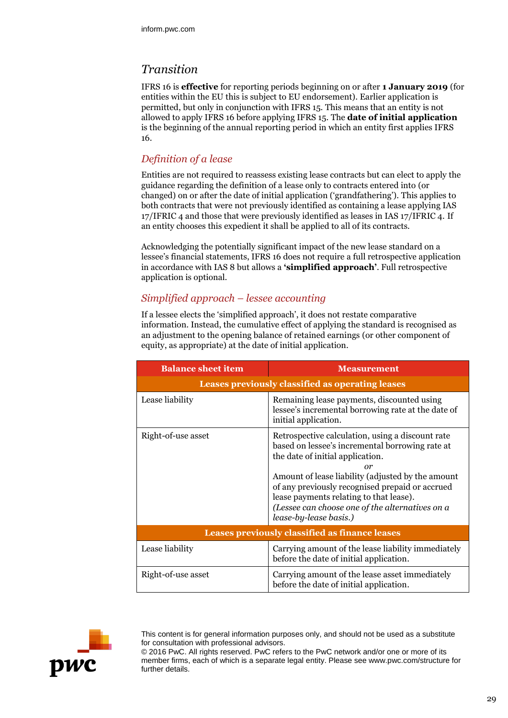# *Transition*

IFRS 16 is **effective** for reporting periods beginning on or after **1 January 2019** (for entities within the EU this is subject to EU endorsement). Earlier application is permitted, but only in conjunction with IFRS 15. This means that an entity is not allowed to apply IFRS 16 before applying IFRS 15. The **date of initial application** is the beginning of the annual reporting period in which an entity first applies IFRS 16.

## *Definition of a lease*

Entities are not required to reassess existing lease contracts but can elect to apply the guidance regarding the definition of a lease only to contracts entered into (or changed) on or after the date of initial application ('grandfathering'). This applies to both contracts that were not previously identified as containing a lease applying IAS 17/IFRIC 4 and those that were previously identified as leases in IAS 17/IFRIC 4. If an entity chooses this expedient it shall be applied to all of its contracts.

Acknowledging the potentially significant impact of the new lease standard on a lessee's financial statements, IFRS 16 does not require a full retrospective application in accordance with IAS 8 but allows a **'simplified approach'**. Full retrospective application is optional.

## *Simplified approach – lessee accounting*

If a lessee elects the 'simplified approach', it does not restate comparative information. Instead, the cumulative effect of applying the standard is recognised as an adjustment to the opening balance of retained earnings (or other component of equity, as appropriate) at the date of initial application.

| <b>Balance sheet item</b>                             | <b>Measurement</b>                                                                                                                                                                                                                                                                                                                                                            |  |
|-------------------------------------------------------|-------------------------------------------------------------------------------------------------------------------------------------------------------------------------------------------------------------------------------------------------------------------------------------------------------------------------------------------------------------------------------|--|
|                                                       | Leases previously classified as operating leases                                                                                                                                                                                                                                                                                                                              |  |
| Lease liability                                       | Remaining lease payments, discounted using<br>lessee's incremental borrowing rate at the date of<br>initial application.                                                                                                                                                                                                                                                      |  |
| Right-of-use asset                                    | Retrospective calculation, using a discount rate<br>based on lessee's incremental borrowing rate at<br>the date of initial application.<br>or<br>Amount of lease liability (adjusted by the amount<br>of any previously recognised prepaid or accrued<br>lease payments relating to that lease).<br>(Lessee can choose one of the alternatives on a<br>lease-by-lease basis.) |  |
| <b>Leases previously classified as finance leases</b> |                                                                                                                                                                                                                                                                                                                                                                               |  |
| Lease liability                                       | Carrying amount of the lease liability immediately<br>before the date of initial application.                                                                                                                                                                                                                                                                                 |  |
| Right-of-use asset                                    | Carrying amount of the lease asset immediately<br>before the date of initial application.                                                                                                                                                                                                                                                                                     |  |



This content is for general information purposes only, and should not be used as a substitute for consultation with professional advisors.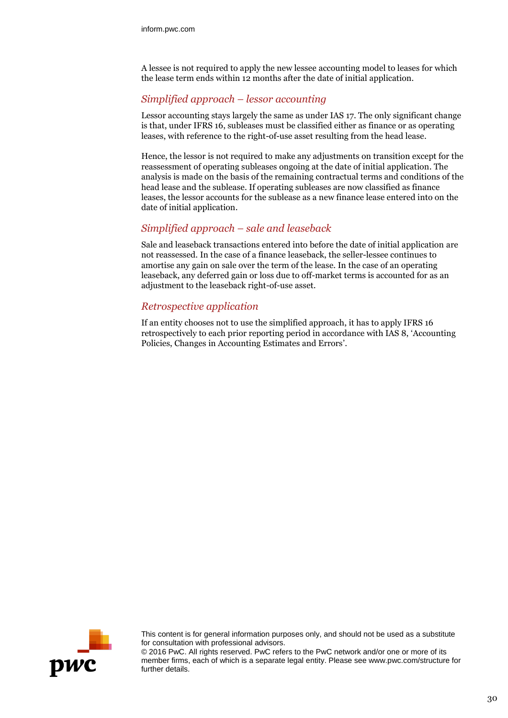A lessee is not required to apply the new lessee accounting model to leases for which the lease term ends within 12 months after the date of initial application.

## *Simplified approach – lessor accounting*

Lessor accounting stays largely the same as under IAS 17. The only significant change is that, under IFRS 16, subleases must be classified either as finance or as operating leases, with reference to the right-of-use asset resulting from the head lease.

Hence, the lessor is not required to make any adjustments on transition except for the reassessment of operating subleases ongoing at the date of initial application. The analysis is made on the basis of the remaining contractual terms and conditions of the head lease and the sublease. If operating subleases are now classified as finance leases, the lessor accounts for the sublease as a new finance lease entered into on the date of initial application.

## *Simplified approach – sale and leaseback*

Sale and leaseback transactions entered into before the date of initial application are not reassessed. In the case of a finance leaseback, the seller-lessee continues to amortise any gain on sale over the term of the lease. In the case of an operating leaseback, any deferred gain or loss due to off-market terms is accounted for as an adjustment to the leaseback right-of-use asset.

## *Retrospective application*

If an entity chooses not to use the simplified approach, it has to apply IFRS 16 retrospectively to each prior reporting period in accordance with IAS 8, 'Accounting Policies, Changes in Accounting Estimates and Errors'.



This content is for general information purposes only, and should not be used as a substitute for consultation with professional advisors.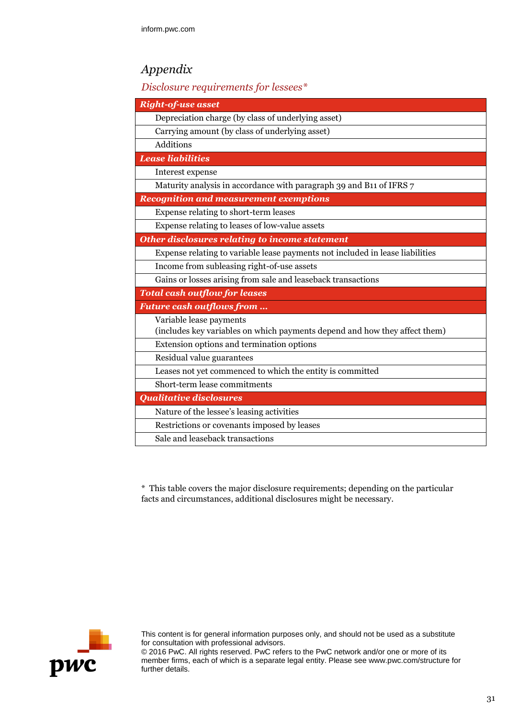# *Appendix*

## *Disclosure requirements for lessees\**

| <b>Right-of-use asset</b>                                                     |
|-------------------------------------------------------------------------------|
| Depreciation charge (by class of underlying asset)                            |
| Carrying amount (by class of underlying asset)                                |
| Additions                                                                     |
| <b>Lease liabilities</b>                                                      |
| Interest expense                                                              |
| Maturity analysis in accordance with paragraph 39 and B11 of IFRS 7           |
| <b>Recognition and measurement exemptions</b>                                 |
| Expense relating to short-term leases                                         |
| Expense relating to leases of low-value assets                                |
| <b>Other disclosures relating to income statement</b>                         |
| Expense relating to variable lease payments not included in lease liabilities |
| Income from subleasing right-of-use assets                                    |
| Gains or losses arising from sale and leaseback transactions                  |
| <b>Total cash outflow for leases</b>                                          |
| <b>Future cash outflows from </b>                                             |
| Variable lease payments                                                       |
| (includes key variables on which payments depend and how they affect them)    |
| Extension options and termination options                                     |
| Residual value guarantees                                                     |
| Leases not yet commenced to which the entity is committed                     |
| Short-term lease commitments                                                  |
| <b>Qualitative disclosures</b>                                                |
| Nature of the lessee's leasing activities                                     |
| Restrictions or covenants imposed by leases                                   |
| Sale and leaseback transactions                                               |

\* This table covers the major disclosure requirements; depending on the particular facts and circumstances, additional disclosures might be necessary.



This content is for general information purposes only, and should not be used as a substitute for consultation with professional advisors.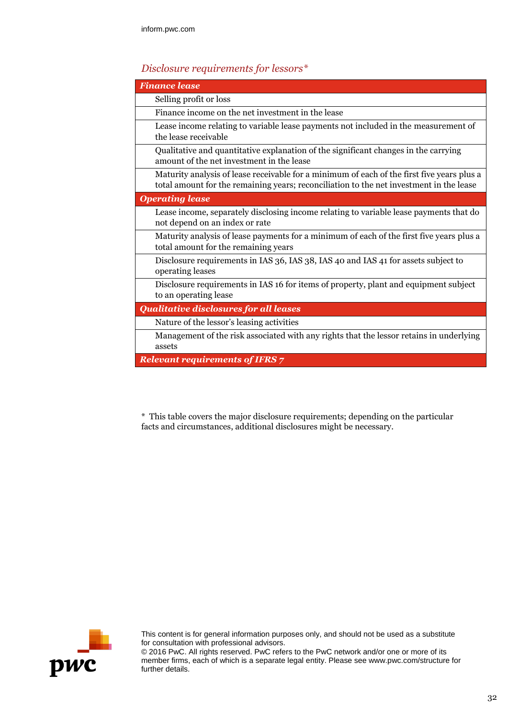# *Disclosure requirements for lessors\**

| <b>Finance lease</b>                                                                                                                                                                  |
|---------------------------------------------------------------------------------------------------------------------------------------------------------------------------------------|
| Selling profit or loss                                                                                                                                                                |
| Finance income on the net investment in the lease                                                                                                                                     |
| Lease income relating to variable lease payments not included in the measurement of<br>the lease receivable                                                                           |
| Qualitative and quantitative explanation of the significant changes in the carrying<br>amount of the net investment in the lease                                                      |
| Maturity analysis of lease receivable for a minimum of each of the first five years plus a<br>total amount for the remaining years; reconciliation to the net investment in the lease |
| <b>Operating lease</b>                                                                                                                                                                |
| Lease income, separately disclosing income relating to variable lease payments that do<br>not depend on an index or rate                                                              |
| Maturity analysis of lease payments for a minimum of each of the first five years plus a<br>total amount for the remaining years                                                      |
| Disclosure requirements in IAS 36, IAS 38, IAS 40 and IAS 41 for assets subject to<br>operating leases                                                                                |
| Disclosure requirements in IAS 16 for items of property, plant and equipment subject<br>to an operating lease                                                                         |
| <b>Qualitative disclosures for all leases</b>                                                                                                                                         |
| Nature of the lessor's leasing activities                                                                                                                                             |
| Management of the risk associated with any rights that the lessor retains in underlying<br>assets                                                                                     |
| <b>Relevant requirements of IFRS 7</b>                                                                                                                                                |

\* This table covers the major disclosure requirements; depending on the particular facts and circumstances, additional disclosures might be necessary.



This content is for general information purposes only, and should not be used as a substitute for consultation with professional advisors.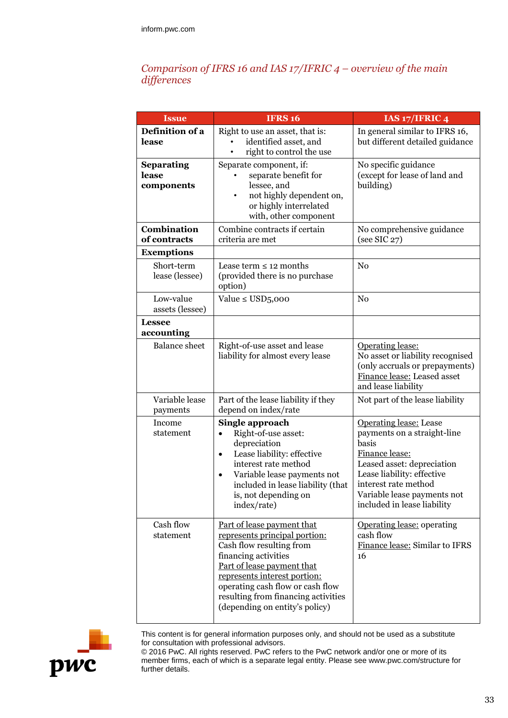## *Comparison of IFRS 16 and IAS 17/IFRIC 4 – overview of the main differences*

| <b>Issue</b>                             | <b>IFRS 16</b>                                                                                                                                                                                                                                                                             | IAS 17/IFRIC 4                                                                                                                                                                                                                            |
|------------------------------------------|--------------------------------------------------------------------------------------------------------------------------------------------------------------------------------------------------------------------------------------------------------------------------------------------|-------------------------------------------------------------------------------------------------------------------------------------------------------------------------------------------------------------------------------------------|
| Definition of a<br>lease                 | Right to use an asset, that is:<br>identified asset, and<br>right to control the use                                                                                                                                                                                                       | In general similar to IFRS 16,<br>but different detailed guidance                                                                                                                                                                         |
| <b>Separating</b><br>lease<br>components | Separate component, if:<br>separate benefit for<br>lessee, and<br>not highly dependent on,<br>٠<br>or highly interrelated<br>with, other component                                                                                                                                         | No specific guidance<br>(except for lease of land and<br>building)                                                                                                                                                                        |
| Combination<br>of contracts              | Combine contracts if certain<br>criteria are met                                                                                                                                                                                                                                           | No comprehensive guidance<br>(see SIC 27)                                                                                                                                                                                                 |
| <b>Exemptions</b>                        |                                                                                                                                                                                                                                                                                            |                                                                                                                                                                                                                                           |
| Short-term<br>lease (lessee)             | Lease term $\leq 12$ months<br>(provided there is no purchase<br>option)                                                                                                                                                                                                                   | N <sub>0</sub>                                                                                                                                                                                                                            |
| Low-value<br>assets (lessee)             | Value $\leq$ USD5,000                                                                                                                                                                                                                                                                      | N <sub>0</sub>                                                                                                                                                                                                                            |
| <b>Lessee</b><br>accounting              |                                                                                                                                                                                                                                                                                            |                                                                                                                                                                                                                                           |
| <b>Balance</b> sheet                     | Right-of-use asset and lease<br>liability for almost every lease                                                                                                                                                                                                                           | Operating lease:<br>No asset or liability recognised<br>(only accruals or prepayments)<br>Finance lease: Leased asset<br>and lease liability                                                                                              |
| Variable lease<br>payments               | Part of the lease liability if they<br>depend on index/rate                                                                                                                                                                                                                                | Not part of the lease liability                                                                                                                                                                                                           |
| Income<br>statement                      | Single approach<br>Right-of-use asset:<br>$\bullet$<br>depreciation<br>Lease liability: effective<br>$\bullet$<br>interest rate method<br>Variable lease payments not<br>included in lease liability (that<br>is, not depending on<br>index/rate)                                          | <b>Operating lease:</b> Lease<br>payments on a straight-line<br>basis<br>Finance lease:<br>Leased asset: depreciation<br>Lease liability: effective<br>interest rate method<br>Variable lease payments not<br>included in lease liability |
| Cash flow<br>statement                   | Part of lease payment that<br>represents principal portion:<br>Cash flow resulting from<br>financing activities<br>Part of lease payment that<br>represents interest portion:<br>operating cash flow or cash flow<br>resulting from financing activities<br>(depending on entity's policy) | Operating lease: operating<br>cash flow<br>Finance lease: Similar to IFRS<br>16                                                                                                                                                           |



This content is for general information purposes only, and should not be used as a substitute for consultation with professional advisors.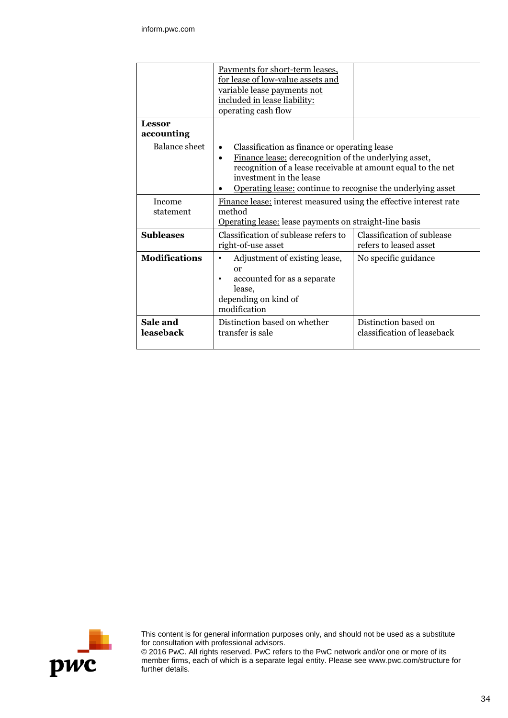|                             | Payments for short-term leases,<br>for lease of low-value assets and<br>variable lease payments not<br>included in lease liability:<br>operating cash flow                                                                                                                                |                                                      |  |
|-----------------------------|-------------------------------------------------------------------------------------------------------------------------------------------------------------------------------------------------------------------------------------------------------------------------------------------|------------------------------------------------------|--|
| <b>Lessor</b><br>accounting |                                                                                                                                                                                                                                                                                           |                                                      |  |
| <b>Balance</b> sheet        | Classification as finance or operating lease<br>$\bullet$<br>Finance lease: derecognition of the underlying asset,<br>$\bullet$<br>recognition of a lease receivable at amount equal to the net<br>investment in the lease<br>Operating lease: continue to recognise the underlying asset |                                                      |  |
| Income<br>statement         | Finance lease: interest measured using the effective interest rate<br>method<br><b>Operating lease:</b> lease payments on straight-line basis                                                                                                                                             |                                                      |  |
| <b>Subleases</b>            | Classification of sublease refers to<br>right-of-use asset                                                                                                                                                                                                                                | Classification of sublease<br>refers to leased asset |  |
| <b>Modifications</b>        | Adjustment of existing lease,<br>٠<br>$\alpha$<br>accounted for as a separate<br>lease,<br>depending on kind of<br>modification                                                                                                                                                           | No specific guidance                                 |  |
| Sale and<br>leaseback       | Distinction based on whether<br>transfer is sale                                                                                                                                                                                                                                          | Distinction based on<br>classification of leaseback  |  |



This content is for general information purposes only, and should not be used as a substitute for consultation with professional advisors.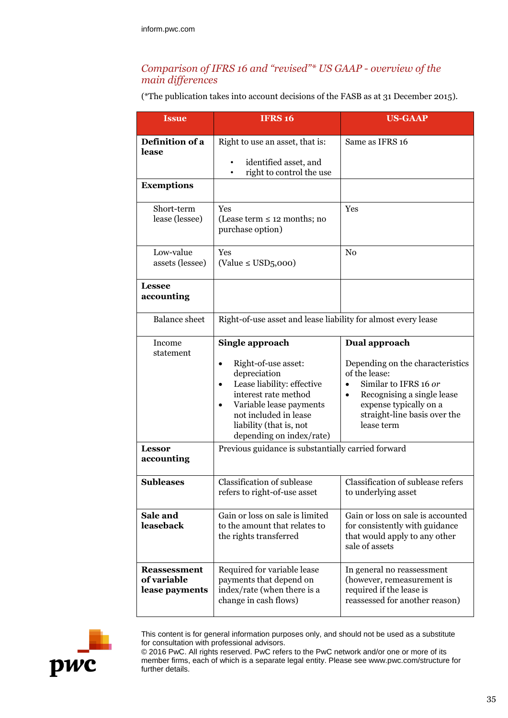## *Comparison of IFRS 16 and "revised"\* US GAAP - overview of the main differences*

(\*The publication takes into account decisions of the FASB as at 31 December 2015).

| <b>Issue</b>                                         | <b>IFRS 16</b>                                                                                                                                                                                                                                                 | <b>US-GAAP</b>                                                                                                                                                                                                              |  |
|------------------------------------------------------|----------------------------------------------------------------------------------------------------------------------------------------------------------------------------------------------------------------------------------------------------------------|-----------------------------------------------------------------------------------------------------------------------------------------------------------------------------------------------------------------------------|--|
| Definition of a<br>lease                             | Right to use an asset, that is:<br>identified asset, and<br>right to control the use                                                                                                                                                                           | Same as IFRS 16                                                                                                                                                                                                             |  |
| <b>Exemptions</b>                                    |                                                                                                                                                                                                                                                                |                                                                                                                                                                                                                             |  |
| Short-term<br>lease (lessee)                         | Yes<br>(Lease term $\leq 12$ months; no<br>purchase option)                                                                                                                                                                                                    | Yes                                                                                                                                                                                                                         |  |
| Low-value<br>assets (lessee)                         | Yes<br>(Value $\leq$ USD5,000)                                                                                                                                                                                                                                 | N <sub>0</sub>                                                                                                                                                                                                              |  |
| <b>Lessee</b><br>accounting                          |                                                                                                                                                                                                                                                                |                                                                                                                                                                                                                             |  |
| <b>Balance</b> sheet                                 | Right-of-use asset and lease liability for almost every lease                                                                                                                                                                                                  |                                                                                                                                                                                                                             |  |
| Income<br>statement                                  | Single approach<br>Right-of-use asset:<br>$\bullet$<br>depreciation<br>Lease liability: effective<br>$\bullet$<br>interest rate method<br>Variable lease payments<br>$\bullet$<br>not included in lease<br>liability (that is, not<br>depending on index/rate) | Dual approach<br>Depending on the characteristics<br>of the lease:<br>Similar to IFRS 16 or<br>$\bullet$<br>Recognising a single lease<br>$\bullet$<br>expense typically on a<br>straight-line basis over the<br>lease term |  |
| <b>Lessor</b><br>accounting                          | Previous guidance is substantially carried forward                                                                                                                                                                                                             |                                                                                                                                                                                                                             |  |
| <b>Subleases</b>                                     | Classification of sublease<br>refers to right-of-use asset                                                                                                                                                                                                     | Classification of sublease refers<br>to underlying asset                                                                                                                                                                    |  |
| Sale and<br>leaseback                                | Gain or loss on sale is limited<br>to the amount that relates to<br>the rights transferred                                                                                                                                                                     | Gain or loss on sale is accounted<br>for consistently with guidance<br>that would apply to any other<br>sale of assets                                                                                                      |  |
| <b>Reassessment</b><br>of variable<br>lease payments | Required for variable lease<br>payments that depend on<br>index/rate (when there is a<br>change in cash flows)                                                                                                                                                 | In general no reassessment<br>(however, remeasurement is<br>required if the lease is<br>reassessed for another reason)                                                                                                      |  |



This content is for general information purposes only, and should not be used as a substitute for consultation with professional advisors.